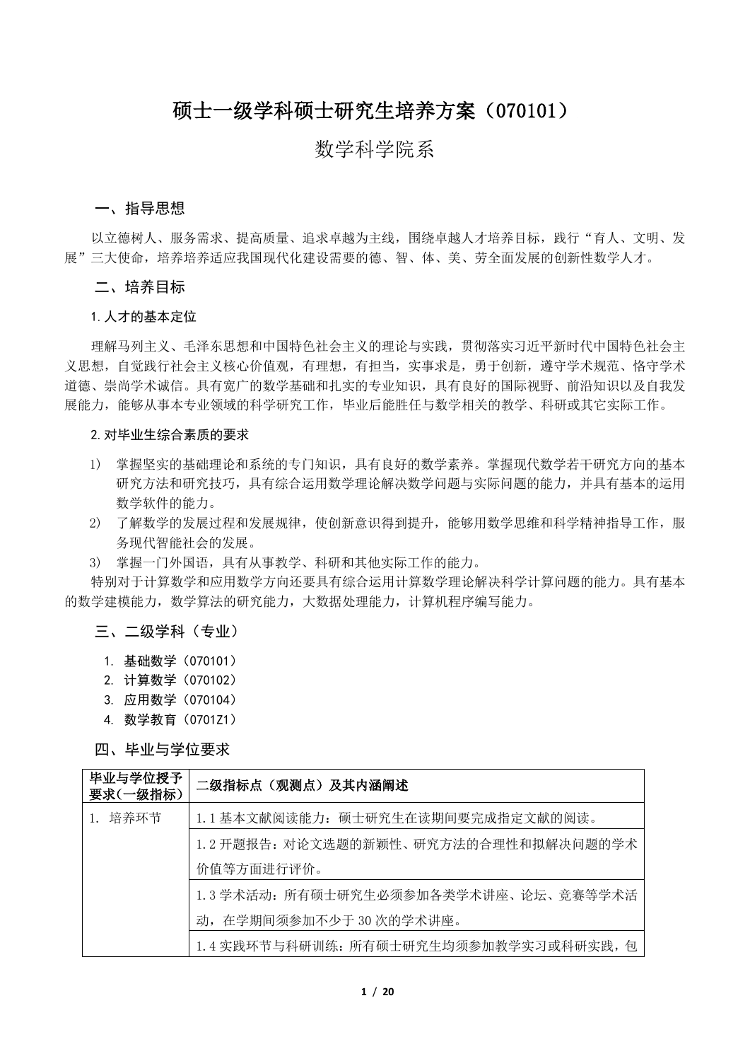# 硕士一级学科硕士研究生培养方案(070101)

## 数学科学院系

#### 一、指导思想

以立德树人、服务需求、提高质量、追求卓越为主线,围绕卓越人才培养目标,践行"育人、文明、发 展"三大使命,培养培养适应我国现代化建设需要的德、智、体、美、劳全面发展的创新性数学人才。

### 二、培养目标

#### 1.人才的基本定位

理解马列主义、毛泽东思想和中国特色社会主义的理论与实践,贯彻落实习近平新时代中国特色社会主 义思想,自觉践行社会主义核心价值观,有理想,有担当,实事求是,勇于创新,遵守学术规范、恪守学术 道德、崇尚学术诚信。具有宽广的数学基础和扎实的专业知识,具有良好的国际视野、前沿知识以及自我发 展能力,能够从事本专业领域的科学研究工作,毕业后能胜任与数学相关的教学、科研或其它实际工作。

### 2.对毕业生综合素质的要求

- 1) 掌握坚实的基础理论和系统的专门知识,具有良好的数学素养。掌握现代数学若干研究方向的基本 研究方法和研究技巧,具有综合运用数学理论解决数学问题与实际问题的能力,并具有基本的运用 数学软件的能力。
- 2) 了解数学的发展过程和发展规律,使创新意识得到提升,能够用数学思维和科学精神指导工作,服 务现代智能社会的发展。
- 3) 掌握一门外国语,具有从事教学、科研和其他实际工作的能力。

特别对于计算数学和应用数学方向还要具有综合运用计算数学理论解决科学计算问题的能力。具有基本 的数学建模能力,数学算法的研究能力,大数据处理能力,计算机程序编写能力。

- 三、二级学科(专业)
- 1. 基础数学(070101)
- 2. 计算数学(070102)
- 3. 应用数学(070104)
- 4. 数学教育(0701Z1)

四、毕业与学位要求

| 毕业与学位授予<br>要求(一级指标) | 二级指标点(观测点)及其内涵阐述                       |  |  |  |  |
|---------------------|----------------------------------------|--|--|--|--|
| 1. 培养环节             | 1.1基本文献阅读能力: 硕士研究生在读期间要完成指定文献的阅读。      |  |  |  |  |
|                     | 1.2开题报告: 对论文选题的新颖性、研究方法的合理性和拟解决问题的学术   |  |  |  |  |
|                     | 价值等方面进行评价。                             |  |  |  |  |
|                     | 1.3 学术活动: 所有硕士研究生必须参加各类学术讲座、论坛、竞赛等学术活  |  |  |  |  |
|                     | 动, 在学期间须参加不少于30次的学术讲座。                 |  |  |  |  |
|                     | 1.4 实践环节与科研训练: 所有硕士研究生均须参加教学实习或科研实践, 包 |  |  |  |  |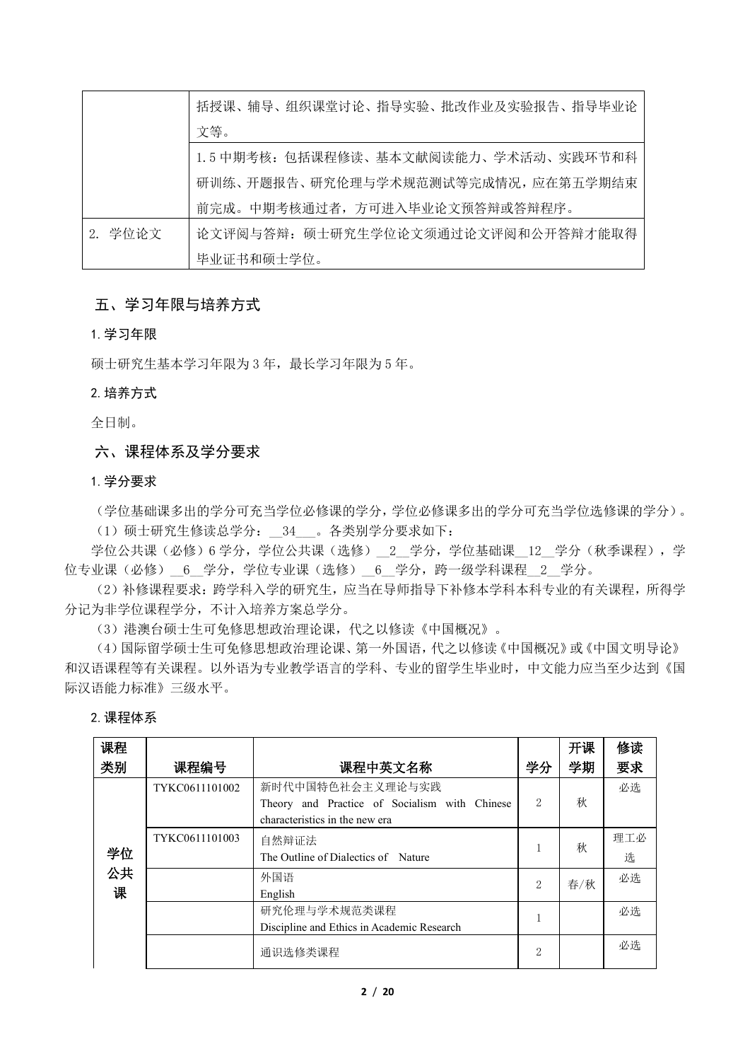|         | 括授课、辅导、组织课堂讨论、指导实验、批改作业及实验报告、指导毕业论    |
|---------|---------------------------------------|
|         | 文等。                                   |
|         | 1.5 中期考核: 包括课程修读、基本文献阅读能力、学术活动、实践环节和科 |
|         | 研训练、开题报告、研究伦理与学术规范测试等完成情况,应在第五学期结束    |
|         | 前完成。中期考核通过者, 方可进入毕业论文预答辩或答辩程序。        |
| 2. 学位论文 | 论文评阅与答辩: 硕士研究生学位论文须通过论文评阅和公开答辩才能取得    |
|         | 毕业证书和硕士学位。                            |

### 五、学习年限与培养方式

#### 1.学习年限

硕士研究生基本学习年限为 3 年,最长学习年限为 5 年。

### 2.培养方式

全日制。

### 六、课程体系及学分要求

#### 1.学分要求

(学位基础课多出的学分可充当学位必修课的学分,学位必修课多出的学分可充当学位选修课的学分)。

(1)硕士研究生修读总学分:\_\_34\_\_\_。各类别学分要求如下:

学位公共课(必修)6学分,学位公共课(选修) 2 学分,学位基础课 12 学分(秋季课程),学 位专业课(必修)\_6\_学分,学位专业课(选修)\_6\_学分,跨一级学科课程\_2\_学分。

(2)补修课程要求:跨学科入学的研究生,应当在导师指导下补修本学科本科专业的有关课程,所得学 分记为非学位课程学分,不计入培养方案总学分。

(3)港澳台硕士生可免修思想政治理论课,代之以修读《中国概况》。

(4)国际留学硕士生可免修思想政治理论课、第一外国语,代之以修读《中国概况》或《中国文明导论》 和汉语课程等有关课程。以外语为专业教学语言的学科、专业的留学生毕业时,中文能力应当至少达到《国 际汉语能力标准》三级水平。

| 课程      |                |                                                                                                     |                | 开课  | 修读       |
|---------|----------------|-----------------------------------------------------------------------------------------------------|----------------|-----|----------|
| 类别      | 课程编号           | 课程中英文名称                                                                                             | 学分             | 学期  | 要求       |
|         | TYKC0611101002 | 新时代中国特色社会主义理论与实践<br>Theory and Practice of Socialism with Chinese<br>characteristics in the new era | 2              | 秋   | 必选       |
| 学位      | TYKC0611101003 | 自然辩证法<br>The Outline of Dialectics of Nature                                                        |                | 秋   | 理工必<br>选 |
| 公共<br>课 |                | 外国语<br>English                                                                                      | $\mathcal{D}$  | 春/秋 | 必选       |
|         |                | 研究伦理与学术规范类课程<br>Discipline and Ethics in Academic Research                                          |                |     | 必选       |
|         |                | 通识选修类课程                                                                                             | $\overline{2}$ |     | 必选       |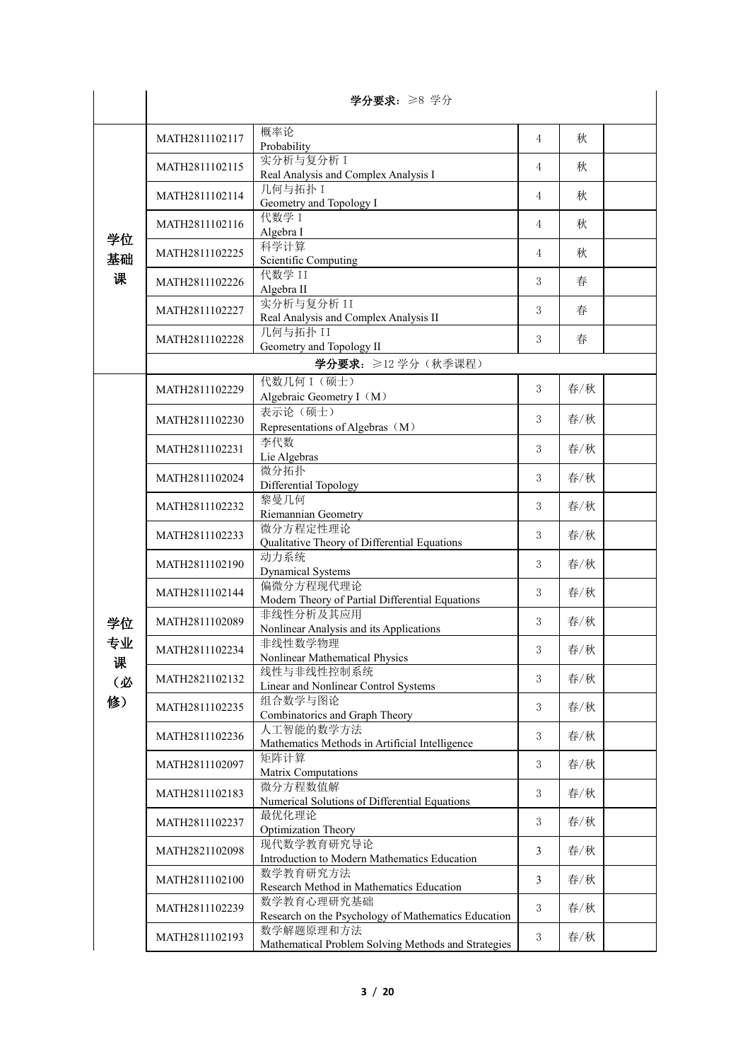|         |                                                                            | 学分要求: ≥8 学分                                                       |                |     |  |
|---------|----------------------------------------------------------------------------|-------------------------------------------------------------------|----------------|-----|--|
|         | MATH2811102117                                                             | 概率论<br>Probability                                                | $\overline{4}$ | 秋   |  |
|         | MATH2811102115                                                             | 实分析与复分析 I<br>Real Analysis and Complex Analysis I                 | 4              | 秋   |  |
|         | MATH2811102114                                                             | 几何与拓扑 I<br>Geometry and Topology I                                | 4              | 秋   |  |
| 学位      | MATH2811102116                                                             | 代数学 I<br>Algebra I                                                | 4              | 秋   |  |
| 基础      | MATH2811102225                                                             | 科学计算<br>Scientific Computing                                      | 4              | 秋   |  |
| 课       | MATH2811102226                                                             | 代数学 II<br>Algebra II<br>实分析与复分析 II                                | 3              | 春   |  |
|         | MATH2811102227                                                             | 3                                                                 | 春              |     |  |
|         | MATH2811102228                                                             | 几何与拓扑 II<br>Geometry and Topology II                              | 3              | 春   |  |
|         |                                                                            | 学分要求: ≥12 学分 (秋季课程)                                               |                |     |  |
|         | MATH2811102229                                                             | 代数几何 I (硕士)<br>Algebraic Geometry I (M)                           | 3              | 春/秋 |  |
|         | MATH2811102230                                                             | 表示论 (硕士)<br>Representations of Algebras (M)                       | 3              | 春/秋 |  |
|         | MATH2811102231                                                             | 李代数<br>Lie Algebras                                               | 3              | 春/秋 |  |
|         | MATH2811102024                                                             | 3                                                                 | 春/秋            |     |  |
|         | 黎曼几何<br>MATH2811102232<br>Riemannian Geometry                              |                                                                   |                | 春/秋 |  |
|         | 微分方程定性理论<br>MATH2811102233<br>Qualitative Theory of Differential Equations |                                                                   | 3              | 春/秋 |  |
|         | MATH2811102190                                                             | 动力系统<br>Dynamical Systems                                         | 3              | 春/秋 |  |
|         | MATH2811102144                                                             | 偏微分方程现代理论<br>Modern Theory of Partial Differential Equations      | 3              | 春/秋 |  |
| 学位      | MATH2811102089                                                             | 非线性分析及其应用<br>Nonlinear Analysis and its Applications              | 3              | 春/秋 |  |
| 专业<br>课 | MATH2811102234                                                             | 非线性数学物理<br>Nonlinear Mathematical Physics                         | $3 -$          | 春/秋 |  |
| (必      | MATH2821102132                                                             | 线性与非线性控制系统<br>Linear and Nonlinear Control Systems                | 3              | 春/秋 |  |
| 修)      | MATH2811102235                                                             | 组合数学与图论<br>Combinatorics and Graph Theory                         | 3              | 春/秋 |  |
|         | MATH2811102236                                                             | 人工智能的数学方法<br>Mathematics Methods in Artificial Intelligence       | 3              | 春/秋 |  |
|         | MATH2811102097                                                             | 矩阵计算<br>Matrix Computations                                       | 3              | 春/秋 |  |
|         | MATH2811102183                                                             | 微分方程数值解<br>Numerical Solutions of Differential Equations          | 3              | 春/秋 |  |
|         | MATH2811102237                                                             | 最优化理论<br>Optimization Theory                                      | 3              | 春/秋 |  |
|         | MATH2821102098                                                             | 现代数学教育研究导论<br>Introduction to Modern Mathematics Education        | 3              | 春/秋 |  |
|         | MATH2811102100                                                             | 数学教育研究方法<br>Research Method in Mathematics Education              | 3              | 春/秋 |  |
|         | MATH2811102239                                                             | 数学教育心理研究基础<br>Research on the Psychology of Mathematics Education | 3              | 春/秋 |  |
|         | MATH2811102193                                                             | 数学解题原理和方法<br>Mathematical Problem Solving Methods and Strategies  | 3              | 春/秋 |  |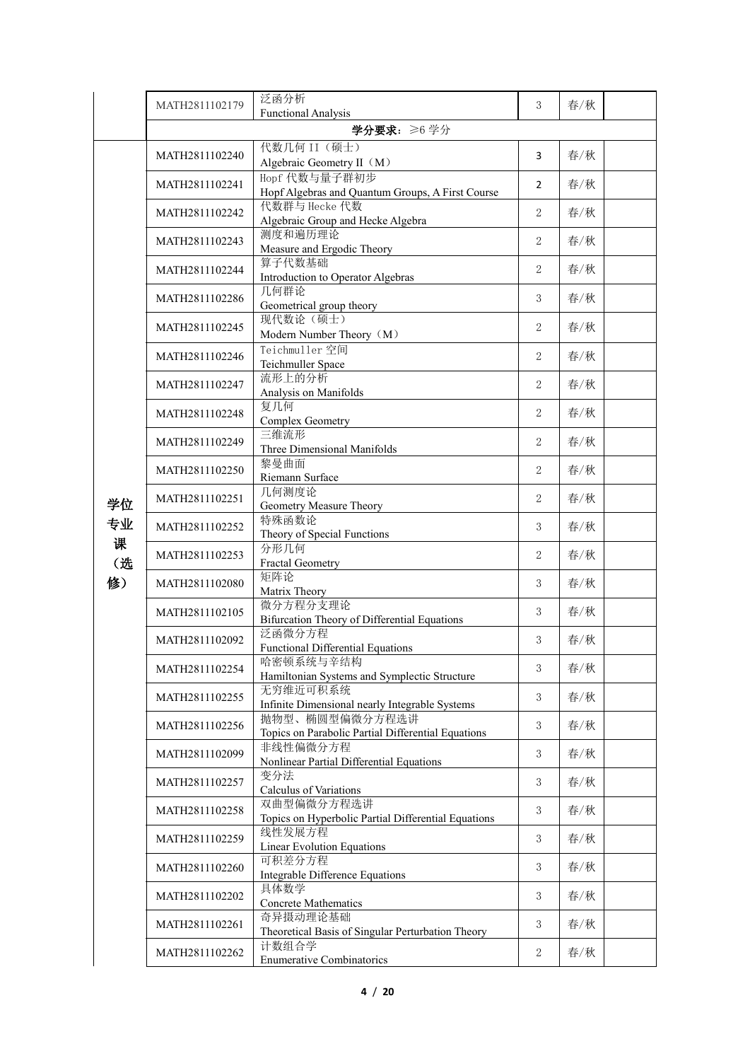|         | MATH2811102179 | 泛函分析<br><b>Functional Analysis</b>                                   | 3              | 春/秋 |  |
|---------|----------------|----------------------------------------------------------------------|----------------|-----|--|
|         |                |                                                                      |                |     |  |
|         |                | 学分要求: ≥6学分                                                           |                |     |  |
|         | MATH2811102240 | 代数几何 II (硕士)<br>Algebraic Geometry II (M)                            | 3              | 春/秋 |  |
|         | MATH2811102241 | Hopf 代数与量子群初步<br>Hopf Algebras and Quantum Groups, A First Course    | $\overline{2}$ | 春/秋 |  |
|         | MATH2811102242 | 代数群与 Hecke 代数<br>Algebraic Group and Hecke Algebra                   | $\overline{2}$ | 春/秋 |  |
|         | MATH2811102243 | 测度和遍历理论<br>Measure and Ergodic Theory                                | $\overline{2}$ | 春/秋 |  |
|         | MATH2811102244 | 算子代数基础<br>Introduction to Operator Algebras                          | $\overline{2}$ | 春/秋 |  |
|         | MATH2811102286 | 几何群论<br>Geometrical group theory                                     | 3              | 春/秋 |  |
|         | MATH2811102245 | 现代数论 (硕士)                                                            | $\overline{2}$ | 春/秋 |  |
|         | MATH2811102246 | Modern Number Theory (M)<br>Teichmuller 空间                           | $\overline{2}$ | 春/秋 |  |
|         | MATH2811102247 | Teichmuller Space<br>流形上的分析                                          | $\overline{2}$ | 春/秋 |  |
|         | MATH2811102248 | Analysis on Manifolds<br>复几何                                         | $\overline{2}$ | 春/秋 |  |
|         | MATH2811102249 | <b>Complex Geometry</b><br>三维流形                                      | $\overline{2}$ | 春/秋 |  |
|         | MATH2811102250 | Three Dimensional Manifolds<br>黎曼曲面<br>Riemann Surface               | 2              | 春/秋 |  |
| 学位      | MATH2811102251 | 几何测度论<br>Geometry Measure Theory                                     | $\overline{2}$ | 春/秋 |  |
| 专业      | MATH2811102252 | 特殊函数论<br>Theory of Special Functions                                 | 3              | 春/秋 |  |
| 课<br>(选 | MATH2811102253 | 分形几何<br>Fractal Geometry                                             | $\overline{2}$ | 春/秋 |  |
| 修)      | MATH2811102080 | 矩阵论<br>Matrix Theory                                                 | 3              | 春/秋 |  |
|         | MATH2811102105 | 微分方程分支理论<br>Bifurcation Theory of Differential Equations             | 3              | 春/秋 |  |
|         | MATH2811102092 | 泛函微分方程<br>Functional Differential Equations                          | 3              | 春/秋 |  |
|         | MATH2811102254 | 哈密顿系统与辛结构<br>Hamiltonian Systems and Symplectic Structure            | 3              | 春/秋 |  |
|         | MATH2811102255 | 无穷维近可积系统<br>Infinite Dimensional nearly Integrable Systems           | 3              | 春/秋 |  |
|         | MATH2811102256 | 抛物型、椭圆型偏微分方程选讲<br>Topics on Parabolic Partial Differential Equations | 3              | 春/秋 |  |
|         | MATH2811102099 | 非线性偏微分方程<br>Nonlinear Partial Differential Equations                 | 3              | 春/秋 |  |
|         | MATH2811102257 | 变分法<br>Calculus of Variations                                        | 3              | 春/秋 |  |
|         | MATH2811102258 | 双曲型偏微分方程选讲<br>Topics on Hyperbolic Partial Differential Equations    | 3              | 春/秋 |  |
|         | MATH2811102259 | 线性发展方程<br><b>Linear Evolution Equations</b>                          | 3              | 春/秋 |  |
|         | MATH2811102260 | 可积差分方程<br>Integrable Difference Equations                            | 3              | 春/秋 |  |
|         | MATH2811102202 | 具体数学<br>Concrete Mathematics                                         | 3              | 春/秋 |  |
|         | MATH2811102261 | 奇异摄动理论基础<br>Theoretical Basis of Singular Perturbation Theory        | 3              | 春/秋 |  |
|         | MATH2811102262 | 计数组合学<br><b>Enumerative Combinatorics</b>                            | $\overline{2}$ | 春/秋 |  |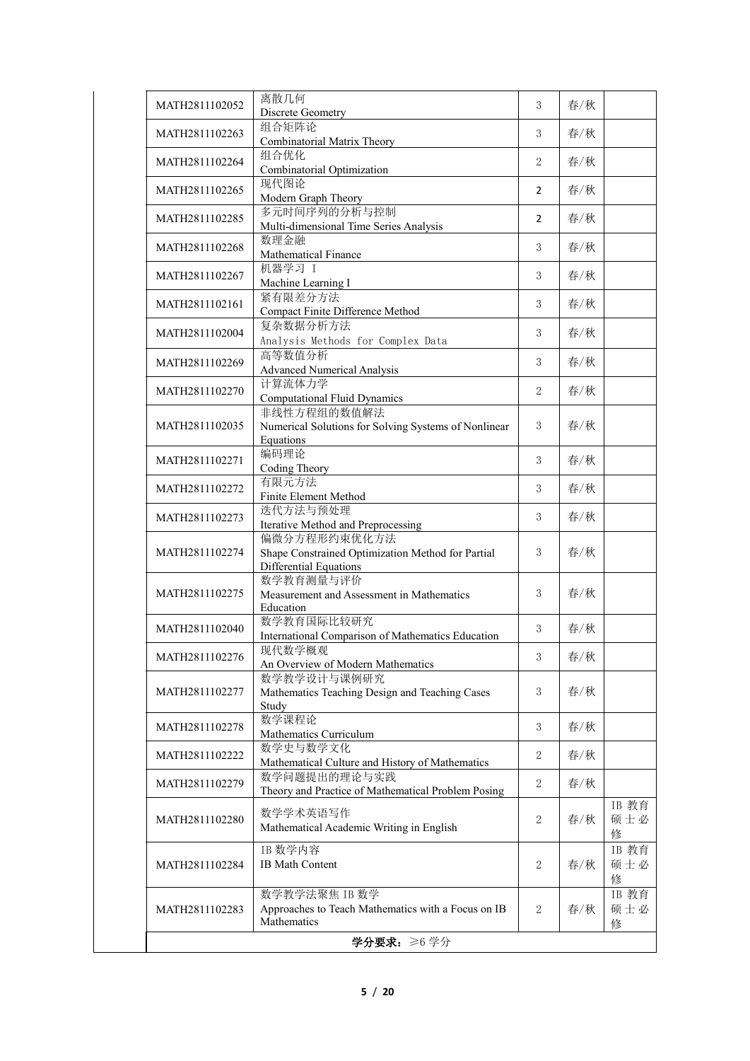| MATH2811102052 | 离散几何<br>Discrete Geometry                                                                   | 3              | 春/秋 |                   |
|----------------|---------------------------------------------------------------------------------------------|----------------|-----|-------------------|
| MATH2811102263 | 组合矩阵论<br>Combinatorial Matrix Theory                                                        | 3              | 春/秋 |                   |
| MATH2811102264 | 组合优化<br>Combinatorial Optimization                                                          | $\overline{2}$ | 春/秋 |                   |
| MATH2811102265 | 现代图论<br>Modern Graph Theory                                                                 | $\overline{2}$ | 春/秋 |                   |
| MATH2811102285 | 多元时间序列的分析与控制<br>Multi-dimensional Time Series Analysis                                      | $\overline{2}$ | 春/秋 |                   |
| MATH2811102268 | 数理金融                                                                                        | 3              | 春/秋 |                   |
| MATH2811102267 | Mathematical Finance<br>机器学习 I                                                              | 3              | 春/秋 |                   |
| MATH2811102161 | Machine Learning I<br>紧有限差分方法                                                               | 3              | 春/秋 |                   |
| MATH2811102004 | Compact Finite Difference Method<br>复杂数据分析方法                                                | 3              | 春/秋 |                   |
| MATH2811102269 | Analysis Methods for Complex Data<br>高等数值分析                                                 | 3              | 春/秋 |                   |
|                | <b>Advanced Numerical Analysis</b><br>计算流体力学                                                | $\overline{2}$ | 春/秋 |                   |
| MATH2811102270 | <b>Computational Fluid Dynamics</b><br>非线性方程组的数值解法                                          |                |     |                   |
| MATH2811102035 | Numerical Solutions for Solving Systems of Nonlinear<br>Equations                           | 3              | 春/秋 |                   |
| MATH2811102271 | 编码理论<br>Coding Theory                                                                       | 3              | 春/秋 |                   |
| MATH2811102272 | 有限元方法<br>Finite Element Method                                                              | 3              | 春/秋 |                   |
| MATH2811102273 | 迭代方法与预处理<br>Iterative Method and Preprocessing                                              | 3              | 春/秋 |                   |
| MATH2811102274 | 偏微分方程形约束优化方法<br>Shape Constrained Optimization Method for Partial<br>Differential Equations | 3              | 春/秋 |                   |
| MATH2811102275 | 数学教育测量与评价<br>Measurement and Assessment in Mathematics<br>Education                         | 3              | 春/秋 |                   |
| MATH2811102040 | 数学教育国际比较研究<br>International Comparison of Mathematics Education                             | 3              | 春/秋 |                   |
| MATH2811102276 | 现代数学概观<br>An Overview of Modern Mathematics                                                 | $\mathfrak{Z}$ | 春/秋 |                   |
| MATH2811102277 | 数学教学设计与课例研究<br>Mathematics Teaching Design and Teaching Cases<br>Study                      | 3              | 春/秋 |                   |
| MATH2811102278 | 数学课程论<br>Mathematics Curriculum                                                             | 3              | 春/秋 |                   |
| MATH2811102222 | 数学史与数学文化<br>Mathematical Culture and History of Mathematics                                 | 2              | 春/秋 |                   |
| MATH2811102279 | 数学问题提出的理论与实践<br>Theory and Practice of Mathematical Problem Posing                          | $\overline{2}$ | 春/秋 |                   |
| MATH2811102280 | 数学学术英语写作<br>Mathematical Academic Writing in English                                        | 2              | 春/秋 | IB 教育<br>硕士必<br>修 |
| MATH2811102284 | IB 数学内容<br><b>IB Math Content</b>                                                           | 2              | 春/秋 | IB 教育<br>硕士必<br>修 |
| MATH2811102283 | 数学教学法聚焦 IB 数学<br>Approaches to Teach Mathematics with a Focus on IB                         | 2              | 春/秋 | IB 教育<br>硕士必      |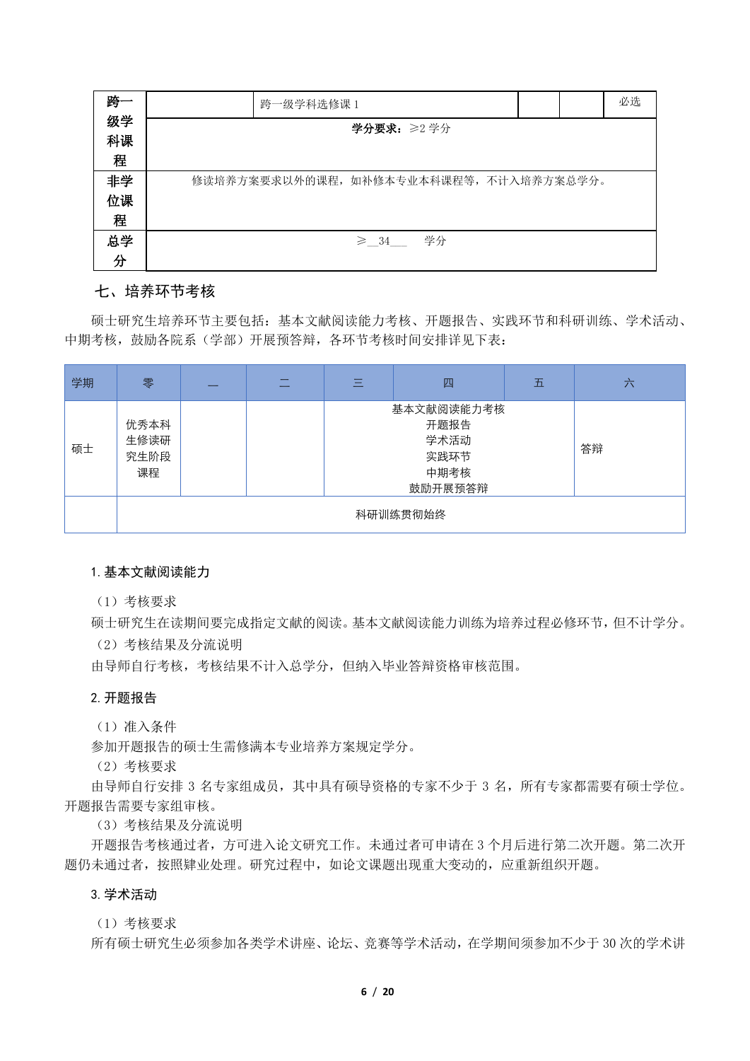| 跨一       | 跨一级学科选修课 1                              |  |  | 必选 |
|----------|-----------------------------------------|--|--|----|
| 级学<br>科课 | 学分要求: ≥2学分                              |  |  |    |
| 程        |                                         |  |  |    |
| 非学       | 修读培养方案要求以外的课程, 如补修本专业本科课程等, 不计入培养方案总学分。 |  |  |    |
| 位课       |                                         |  |  |    |
| 程        |                                         |  |  |    |
| 总学       | 学分<br>$\geqslant$ 34                    |  |  |    |
| 分        |                                         |  |  |    |

### 七、培养环节考核

硕士研究生培养环节主要包括:基本文献阅读能力考核、开题报告、实践环节和科研训练、学术活动、 中期考核,鼓励各院系(学部)开展预答辩,各环节考核时间安排详见下表:

| 学期 | 零                          |  |  |  | 四                                                     | 五 | 六  |
|----|----------------------------|--|--|--|-------------------------------------------------------|---|----|
| 硕士 | 优秀本科<br>生修读研<br>究生阶段<br>课程 |  |  |  | 基本文献阅读能力考核<br>开题报告<br>学术活动<br>实践环节<br>中期考核<br>鼓励开展预答辩 |   | 答辩 |
|    | 科研训练贯彻始终                   |  |  |  |                                                       |   |    |

### 1.基本文献阅读能力

(1)考核要求

硕士研究生在读期间要完成指定文献的阅读。基本文献阅读能力训练为培养过程必修环节,但不计学分。 (2)考核结果及分流说明

由导师自行考核,考核结果不计入总学分,但纳入毕业答辩资格审核范围。

### 2.开题报告

(1)准入条件

参加开题报告的硕士生需修满本专业培养方案规定学分。

(2)考核要求

由导师自行安排 3 名专家组成员,其中具有硕导资格的专家不少于 3 名,所有专家都需要有硕士学位。 开题报告需要专家组审核。

(3)考核结果及分流说明

开题报告考核通过者,方可进入论文研究工作。未通过者可申请在 3 个月后进行第二次开题。第二次开 题仍未通过者,按照肄业处理。研究过程中,如论文课题出现重大变动的,应重新组织开题。

### 3.学术活动

(1)考核要求

所有硕士研究生必须参加各类学术讲座、论坛、竞赛等学术活动,在学期间须参加不少于 30 次的学术讲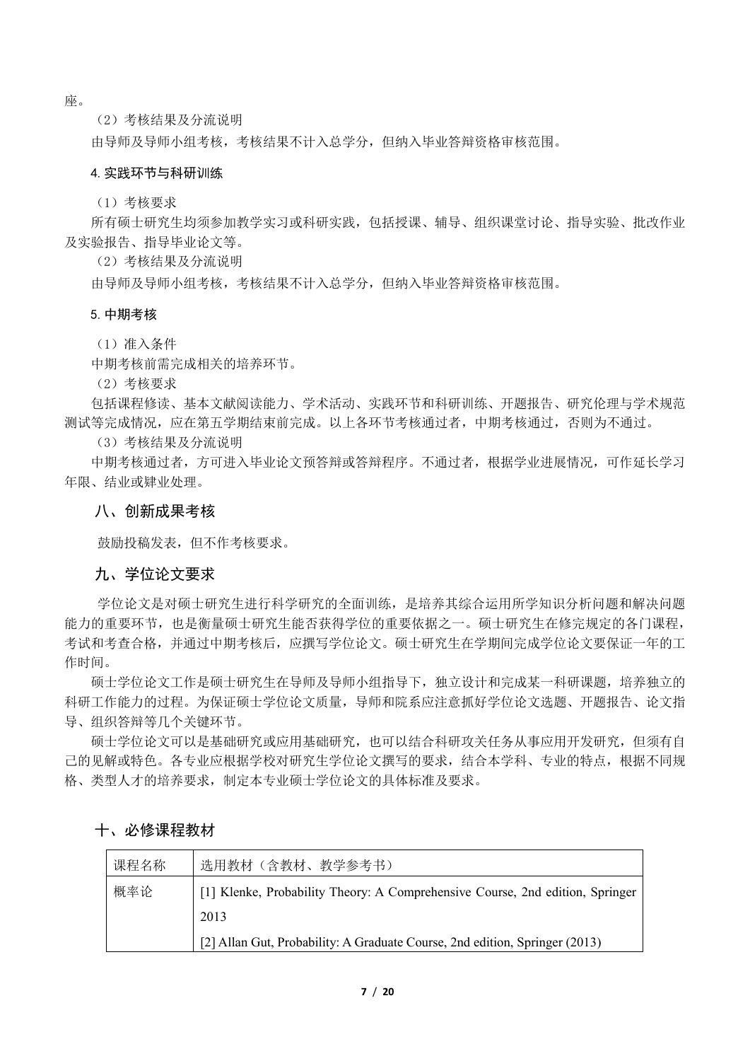座。

(2)考核结果及分流说明

由导师及导师小组考核,考核结果不计入总学分,但纳入毕业答辩资格审核范围。

#### 4.实践环节与科研训练

(1)考核要求

所有硕士研究生均须参加教学实习或科研实践,包括授课、辅导、组织课堂讨论、指导实验、批改作业 及实验报告、指导毕业论文等。

(2)考核结果及分流说明

由导师及导师小组考核,考核结果不计入总学分,但纳入毕业答辩资格审核范围。

### 5.中期考核

(1)准入条件

中期考核前需完成相关的培养环节。

(2)考核要求

包括课程修读、基本文献阅读能力、学术活动、实践环节和科研训练、开题报告、研究伦理与学术规范 测试等完成情况,应在第五学期结束前完成。以上各环节考核通过者,中期考核通过,否则为不通过。

(3)考核结果及分流说明

中期考核通过者,方可进入毕业论文预答辩或答辩程序。不通过者,根据学业进展情况,可作延长学习 年限、结业或肄业处理。

### 八、创新成果考核

鼓励投稿发表,但不作考核要求。

### 九、学位论文要求

学位论文是对硕士研究生进行科学研究的全面训练,是培养其综合运用所学知识分析问题和解决问题 能力的重要环节,也是衡量硕士研究生能否获得学位的重要依据之一。硕士研究生在修完规定的各门课程, 考试和考查合格,并通过中期考核后,应撰写学位论文。硕士研究生在学期间完成学位论文要保证一年的工 作时间。

硕士学位论文工作是硕士研究生在导师及导师小组指导下,独立设计和完成某一科研课题,培养独立的 科研工作能力的过程。为保证硕士学位论文质量,导师和院系应注意抓好学位论文选题、开题报告、论文指 导、组织答辩等几个关键环节。

硕士学位论文可以是基础研究或应用基础研究,也可以结合科研攻关任务从事应用开发研究,但须有自 己的见解或特色。各专业应根据学校对研究生学位论文撰写的要求,结合本学科、专业的特点,根据不同规 格、类型人才的培养要求,制定本专业硕士学位论文的具体标准及要求。

| 课程名称 | 选用教材(含教材、教学参考书)                                                               |
|------|-------------------------------------------------------------------------------|
| 概率论  | [1] Klenke, Probability Theory: A Comprehensive Course, 2nd edition, Springer |
|      | 2013                                                                          |
|      | [2] Allan Gut, Probability: A Graduate Course, 2nd edition, Springer (2013)   |

## 十、必修课程教材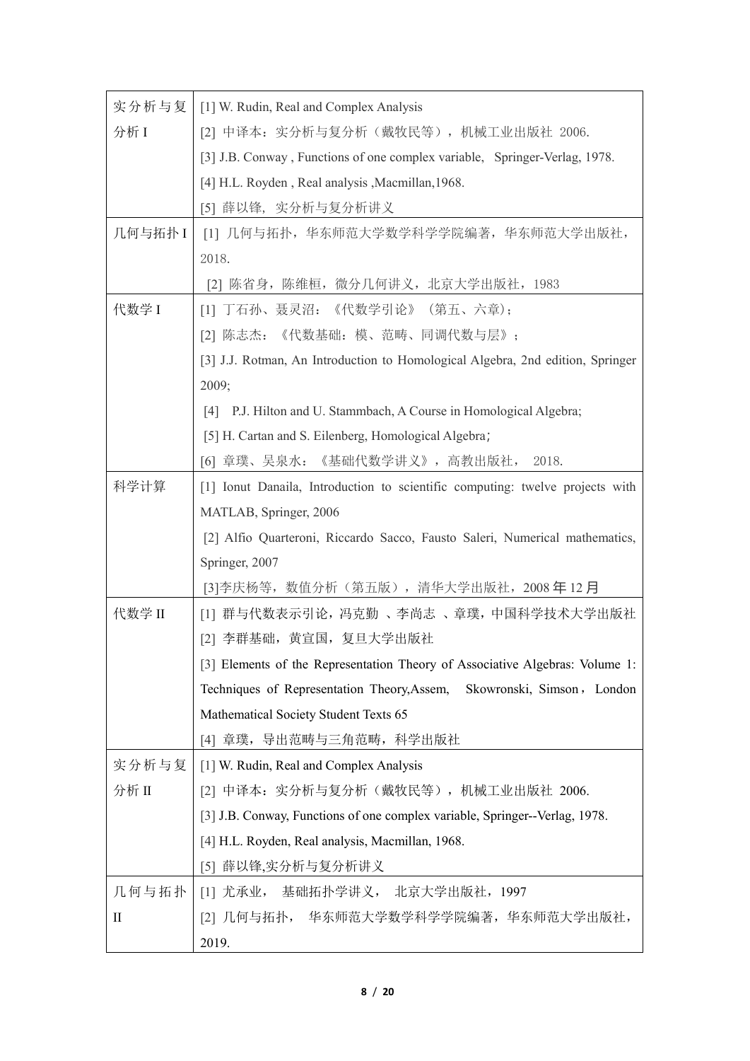| 实分析与复   | [1] W. Rudin, Real and Complex Analysis                                        |
|---------|--------------------------------------------------------------------------------|
| 分析 I    | [2] 中译本: 实分析与复分析(戴牧民等),机械工业出版社 2006.                                           |
|         | [3] J.B. Conway, Functions of one complex variable, Springer-Verlag, 1978.     |
|         | [4] H.L. Royden, Real analysis, Macmillan, 1968.                               |
|         | [5] 薛以锋,实分析与复分析讲义                                                              |
| 几何与拓扑 I | [1] 几何与拓扑, 华东师范大学数学科学学院编著, 华东师范大学出版社,                                          |
|         | 2018.                                                                          |
|         | [2] 陈省身,陈维桓,微分几何讲义,北京大学出版社,1983                                                |
| 代数学 I   | [1] 丁石孙、聂灵沼: 《代数学引论》 (第五、六章);                                                  |
|         | 《代数基础:模、范畴、同调代数与层》;<br>[2] 陈志杰:                                                |
|         | [3] J.J. Rotman, An Introduction to Homological Algebra, 2nd edition, Springer |
|         | 2009;                                                                          |
|         | P.J. Hilton and U. Stammbach, A Course in Homological Algebra;<br>[4]          |
|         | [5] H. Cartan and S. Eilenberg, Homological Algebra;                           |
|         | [6] 章璞、吴泉水: 《基础代数学讲义》,高教出版社,<br>2018.                                          |
| 科学计算    | [1] Ionut Danaila, Introduction to scientific computing: twelve projects with  |
|         | MATLAB, Springer, 2006                                                         |
|         | [2] Alfio Quarteroni, Riccardo Sacco, Fausto Saleri, Numerical mathematics,    |
|         | Springer, 2007                                                                 |
|         | [3]李庆杨等,数值分析(第五版),清华大学出版社,2008 年 12 月                                          |
| 代数学 II  | [1] 群与代数表示引论,冯克勤 、李尚志 、章璞,中国科学技术大学出版社                                          |
|         | [2] 李群基础,黄宣国,复旦大学出版社                                                           |
|         | [3] Elements of the Representation Theory of Associative Algebras: Volume 1:   |
|         | Techniques of Representation Theory, Assem,<br>Skowronski, Simson, London      |
|         | Mathematical Society Student Texts 65                                          |
|         | [4] 章璞, 导出范畴与三角范畴, 科学出版社                                                       |
| 实分析与复   | [1] W. Rudin, Real and Complex Analysis                                        |
| 分析 II   | [2] 中译本: 实分析与复分析(戴牧民等),机械工业出版社 2006.                                           |
|         | [3] J.B. Conway, Functions of one complex variable, Springer--Verlag, 1978.    |
|         | [4] H.L. Royden, Real analysis, Macmillan, 1968.                               |
|         | 薛以锋,实分析与复分析讲义<br>[5]                                                           |
| 几何与拓扑   | 基础拓扑学讲义, 北京大学出版社, 1997<br>[1] 尤承业,                                             |
| П       | [2] 几何与拓扑, 华东师范大学数学科学学院编著,华东师范大学出版社,                                           |
|         | 2019.                                                                          |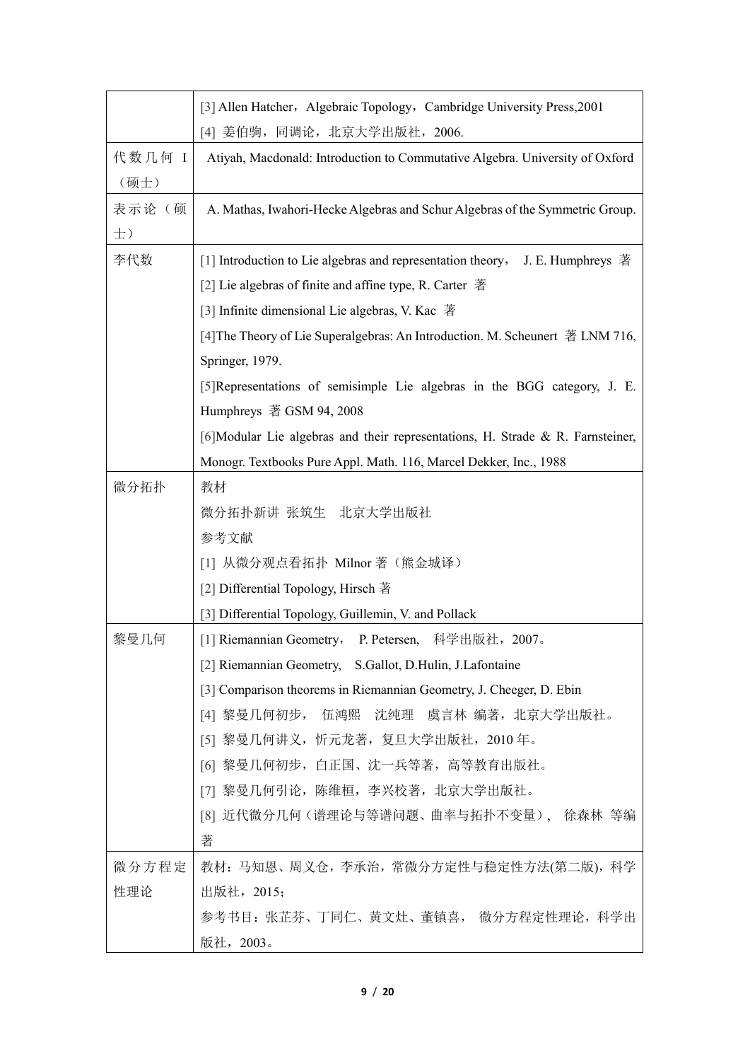|         | [3] Allen Hatcher, Algebraic Topology, Cambridge University Press, 2001          |
|---------|----------------------------------------------------------------------------------|
|         | [4] 姜伯驹,同调论,北京大学出版社,2006.                                                        |
| 代数几何 I  | Atiyah, Macdonald: Introduction to Commutative Algebra. University of Oxford     |
| (硕士)    |                                                                                  |
| 表示论(硕   | A. Mathas, Iwahori-Hecke Algebras and Schur Algebras of the Symmetric Group.     |
| $\pm$ ) |                                                                                  |
| 李代数     | [1] Introduction to Lie algebras and representation theory,<br>J. E. Humphreys 著 |
|         | [2] Lie algebras of finite and affine type, R. Carter $\ddot{\mathbb{F}}$        |
|         | [3] Infinite dimensional Lie algebras, V. Kac 著                                  |
|         | [4] The Theory of Lie Superalgebras: An Introduction. M. Scheunert 著 LNM 716,    |
|         | Springer, 1979.                                                                  |
|         | [5] Representations of semisimple Lie algebras in the BGG category, J. E.        |
|         | Humphreys 著 GSM 94, 2008                                                         |
|         | [6] Modular Lie algebras and their representations, H. Strade & R. Farnsteiner,  |
|         | Monogr. Textbooks Pure Appl. Math. 116, Marcel Dekker, Inc., 1988                |
| 微分拓扑    | 教材                                                                               |
|         | 微分拓扑新讲 张筑生 北京大学出版社                                                               |
|         | 参考文献                                                                             |
|         | [1] 从微分观点看拓扑 Milnor 著 (熊金城译)                                                     |
|         | [2] Differential Topology, Hirsch 著                                              |
|         | [3] Differential Topology, Guillemin, V. and Pollack                             |
| 黎曼几何    | 科学出版社, 2007。<br>[1] Riemannian Geometry, P. Petersen,                            |
|         | [2] Riemannian Geometry, S.Gallot, D.Hulin, J.Lafontaine                         |
|         | [3] Comparison theorems in Riemannian Geometry, J. Cheeger, D. Ebin              |
|         | 伍鸿熙 沈纯理 虞言林 编著, 北京大学出版社。<br>[4] 黎曼几何初步,                                          |
|         | [5] 黎曼几何讲义, 忻元龙著, 复旦大学出版社, 2010年。                                                |
|         | [6] 黎曼几何初步, 白正国、沈一兵等著, 高等教育出版社。                                                  |
|         | 黎曼几何引论, 陈维桓, 李兴校著, 北京大学出版社。<br>$\lceil 7 \rceil$                                 |
|         | [8] 近代微分几何(谱理论与等谱问题、曲率与拓扑不变量), 徐森林 等编                                            |
|         | 著                                                                                |
| 微分方程定   | 教材:马知恩、周义仓,李承治,常微分方定性与稳定性方法(第二版),科学                                              |
| 性理论     | 出版社, 2015;                                                                       |
|         | 参考书目: 张芷芬、丁同仁、黄文灶、董镇喜, 微分方程定性理论, 科学出                                             |
|         | 版社, 2003。                                                                        |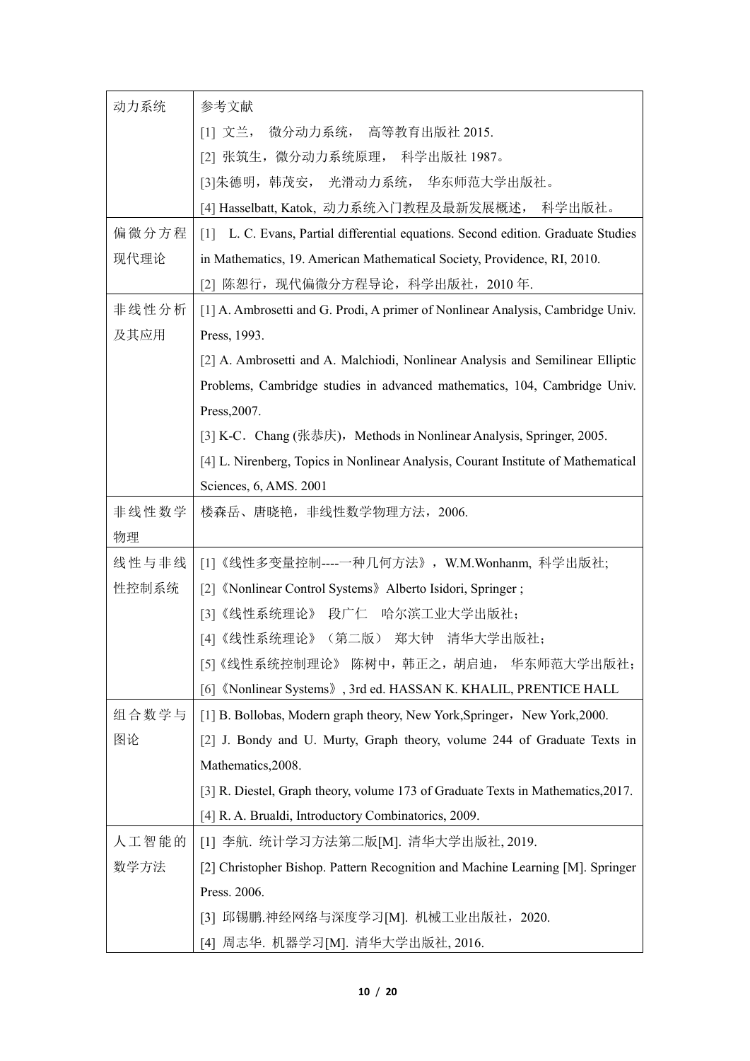| 动力系统  | 参考文献                                                                              |
|-------|-----------------------------------------------------------------------------------|
|       | 微分动力系统, 高等教育出版社 2015.<br>[1] 文兰,                                                  |
|       | [2] 张筑生,微分动力系统原理, 科学出版社 1987。                                                     |
|       | [3]朱德明,韩茂安, 光滑动力系统, 华东师范大学出版社。                                                    |
|       | [4] Hasselbatt, Katok, 动力系统入门教程及最新发展概述, 科学出版社。                                    |
| 偏微分方程 | [1] L. C. Evans, Partial differential equations. Second edition. Graduate Studies |
| 现代理论  | in Mathematics, 19. American Mathematical Society, Providence, RI, 2010.          |
|       | [2] 陈恕行,现代偏微分方程导论,科学出版社,2010年.                                                    |
| 非线性分析 | [1] A. Ambrosetti and G. Prodi, A primer of Nonlinear Analysis, Cambridge Univ.   |
| 及其应用  | Press, 1993.                                                                      |
|       | [2] A. Ambrosetti and A. Malchiodi, Nonlinear Analysis and Semilinear Elliptic    |
|       | Problems, Cambridge studies in advanced mathematics, 104, Cambridge Univ.         |
|       | Press, 2007.                                                                      |
|       | [3] K-C. Chang (张恭庆), Methods in Nonlinear Analysis, Springer, 2005.              |
|       | [4] L. Nirenberg, Topics in Nonlinear Analysis, Courant Institute of Mathematical |
|       | Sciences, 6, AMS. 2001                                                            |
| 非线性数学 | 楼森岳、唐晓艳, 非线性数学物理方法, 2006.                                                         |
| 物理    |                                                                                   |
| 线性与非线 | [1]《线性多变量控制----一种几何方法》, W.M.Wonhanm, 科学出版社;                                       |
| 性控制系统 | [2] 《Nonlinear Control Systems》 Alberto Isidori, Springer;                        |
|       | [3] 《线性系统理论》 段广仁 哈尔滨工业大学出版社;                                                      |
|       | [4]《线性系统理论》(第二版) 郑大钟 清华大学出版社;                                                     |
|       | [5] 《线性系统控制理论》 陈树中, 韩正之, 胡启迪, 华东师范大学出版社;                                          |
|       | 《Nonlinear Systems》, 3rd ed. HASSAN K. KHALIL, PRENTICE HALL<br>161               |
| 组合数学与 | [1] B. Bollobas, Modern graph theory, New York, Springer, New York, 2000.         |
| 图论    | [2] J. Bondy and U. Murty, Graph theory, volume 244 of Graduate Texts in          |
|       | Mathematics, 2008.                                                                |
|       | [3] R. Diestel, Graph theory, volume 173 of Graduate Texts in Mathematics, 2017.  |
|       | [4] R. A. Brualdi, Introductory Combinatorics, 2009.                              |
| 人工智能的 | [1] 李航. 统计学习方法第二版[M]. 清华大学出版社, 2019.                                              |
| 数学方法  | [2] Christopher Bishop. Pattern Recognition and Machine Learning [M]. Springer    |
|       | Press. 2006.                                                                      |
|       | [3] 邱锡鹏.神经网络与深度学习[M]. 机械工业出版社,2020.                                               |
|       | [4] 周志华. 机器学习[M]. 清华大学出版社, 2016.                                                  |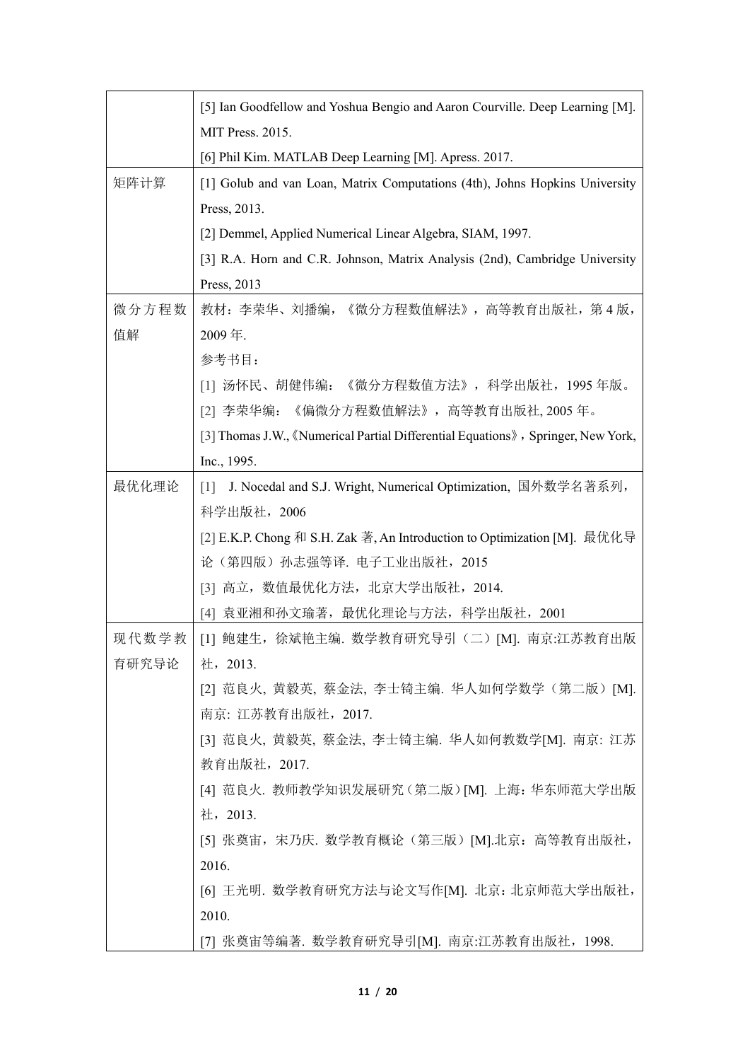|       | [5] Ian Goodfellow and Yoshua Bengio and Aaron Courville. Deep Learning [M].       |
|-------|------------------------------------------------------------------------------------|
|       | MIT Press. 2015.                                                                   |
|       | [6] Phil Kim. MATLAB Deep Learning [M]. Apress. 2017.                              |
| 矩阵计算  | [1] Golub and van Loan, Matrix Computations (4th), Johns Hopkins University        |
|       | Press, 2013.                                                                       |
|       | [2] Demmel, Applied Numerical Linear Algebra, SIAM, 1997.                          |
|       | [3] R.A. Horn and C.R. Johnson, Matrix Analysis (2nd), Cambridge University        |
|       | Press, 2013                                                                        |
| 微分方程数 | 教材: 李荣华、刘播编, 《微分方程数值解法》, 高等教育出版社, 第4版,                                             |
| 值解    | 2009年.                                                                             |
|       | 参考书目:                                                                              |
|       | [1] 汤怀民、胡健伟编: 《微分方程数值方法》, 科学出版社, 1995年版。                                           |
|       | 《偏微分方程数值解法》,高等教育出版社,2005 年。<br>[2] 李荣华编:                                           |
|       | [3] Thomas J.W., 《Numerical Partial Differential Equations》, Springer, New York,   |
|       | Inc., 1995.                                                                        |
| 最优化理论 | J. Nocedal and S.J. Wright, Numerical Optimization, 国外数学名著系列,<br>$\lceil 1 \rceil$ |
|       | 科学出版社, 2006                                                                        |
|       | [2] E.K.P. Chong 和 S.H. Zak 著, An Introduction to Optimization [M]. 最优化导           |
|       | 论(第四版)孙志强等译. 电子工业出版社, 2015                                                         |
|       | [3] 高立, 数值最优化方法, 北京大学出版社, 2014.                                                    |
|       | 袁亚湘和孙文瑜著,最优化理论与方法,科学出版社,2001<br>[4]                                                |
| 现代数学教 | [1] 鲍建生, 徐斌艳主编. 数学教育研究导引 (二) [M]. 南京:江苏教育出版                                        |
| 育研究导论 | 社, 2013.                                                                           |
|       | [2] 范良火, 黄毅英, 蔡金法, 李士锜主编. 华人如何学数学(第二版) [M].                                        |
|       | 南京: 江苏教育出版社, 2017.                                                                 |
|       | [3] 范良火, 黄毅英, 蔡金法, 李士锜主编. 华人如何教数学[M]. 南京: 江苏                                       |
|       | 教育出版社, 2017.                                                                       |
|       | [4] 范良火. 教师教学知识发展研究(第二版) [M]. 上海: 华东师范大学出版                                         |
|       | 社, 2013.                                                                           |
|       | [5] 张奠宙, 宋乃庆. 数学教育概论(第三版) [M].北京: 高等教育出版社,                                         |
|       | 2016.                                                                              |
|       | [6] 王光明. 数学教育研究方法与论文写作[M]. 北京: 北京师范大学出版社,                                          |
|       | 2010.                                                                              |
|       | [7] 张奠宙等编著. 数学教育研究导引[M]. 南京:江苏教育出版社, 1998.                                         |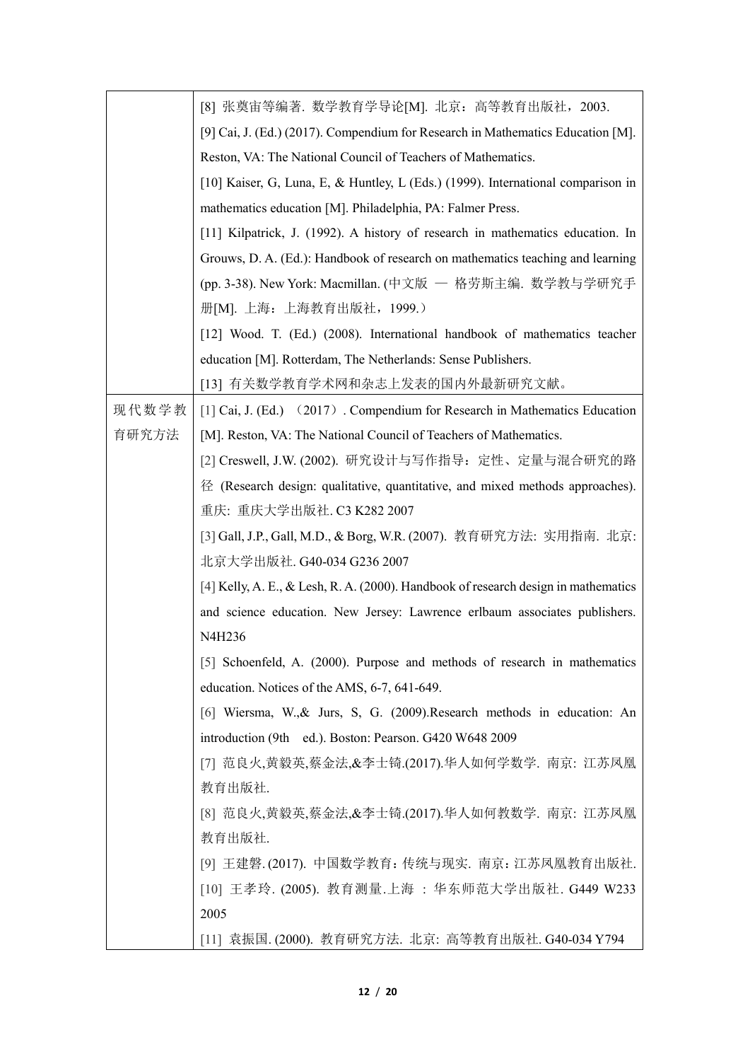|       | [8] 张奠宙等编著. 数学教育学导论[M]. 北京: 高等教育出版社,2003.                                          |
|-------|------------------------------------------------------------------------------------|
|       | [9] Cai, J. (Ed.) (2017). Compendium for Research in Mathematics Education [M].    |
|       | Reston, VA: The National Council of Teachers of Mathematics.                       |
|       | [10] Kaiser, G, Luna, E, & Huntley, L (Eds.) (1999). International comparison in   |
|       | mathematics education [M]. Philadelphia, PA: Falmer Press.                         |
|       | [11] Kilpatrick, J. (1992). A history of research in mathematics education. In     |
|       | Grouws, D. A. (Ed.): Handbook of research on mathematics teaching and learning     |
|       | (pp. 3-38). New York: Macmillan. (中文版 - 格劳斯主编. 数学教与学研究手                            |
|       | 册[M]. 上海: 上海教育出版社, 1999.)                                                          |
|       | [12] Wood. T. (Ed.) (2008). International handbook of mathematics teacher          |
|       | education [M]. Rotterdam, The Netherlands: Sense Publishers.                       |
|       | [13] 有关数学教育学术网和杂志上发表的国内外最新研究文献。                                                    |
| 现代数学教 | [1] Cai, J. (Ed.) (2017). Compendium for Research in Mathematics Education         |
| 育研究方法 | [M]. Reston, VA: The National Council of Teachers of Mathematics.                  |
|       | [2] Creswell, J.W. (2002). 研究设计与写作指导: 定性、定量与混合研究的路                                 |
|       | 径 (Research design: qualitative, quantitative, and mixed methods approaches).      |
|       | 重庆: 重庆大学出版社. C3 K282 2007                                                          |
|       | [3] Gall, J.P., Gall, M.D., & Borg, W.R. (2007). 教育研究方法: 实用指南. 北京:                 |
|       | 北京大学出版社. G40-034 G236 2007                                                         |
|       | [4] Kelly, A. E., & Lesh, R. A. (2000). Handbook of research design in mathematics |
|       | and science education. New Jersey: Lawrence erlbaum associates publishers.         |
|       | N4H236                                                                             |
|       | [5] Schoenfeld, A. (2000). Purpose and methods of research in mathematics          |
|       | education. Notices of the AMS, 6-7, 641-649.                                       |
|       | [6] Wiersma, W., & Jurs, S. G. (2009). Research methods in education: An           |
|       | introduction (9th ed.). Boston: Pearson. G420 W648 2009                            |
|       | [7] 范良火,黄毅英,蔡金法,&李士锜.(2017).华人如何学数学. 南京: 江苏凤凰                                      |
|       | 教育出版社.                                                                             |
|       | [8] 范良火,黄毅英,蔡金法,&李士锜.(2017).华人如何教数学. 南京: 江苏凤凰                                      |
|       | 教育出版社.                                                                             |
|       | [9] 王建磐. (2017). 中国数学教育: 传统与现实. 南京: 江苏凤凰教育出版社.                                     |
|       | [10] 王孝玲. (2005). 教育测量.上海: 华东师范大学出版社. G449 W233                                    |
|       | 2005                                                                               |
|       | [11] 袁振国. (2000). 教育研究方法. 北京: 高等教育出版社. G40-034 Y794                                |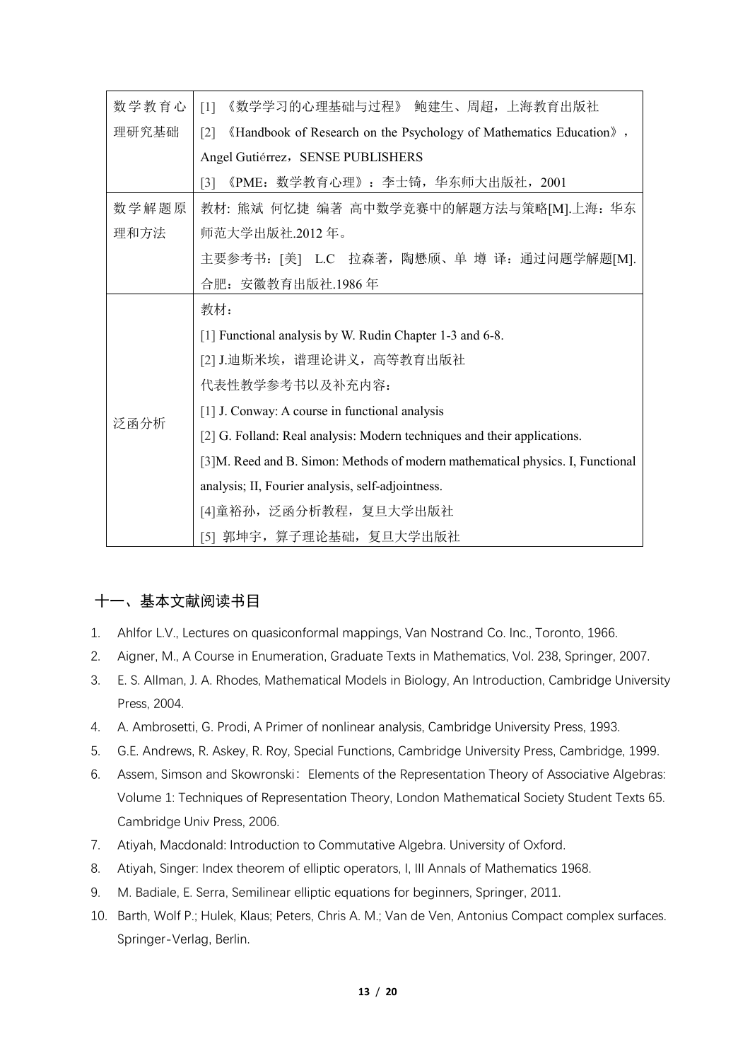| 数学教育心 | 《数学学习的心理基础与过程》 鲍建生、周超, 上海教育出版社<br>$\lceil 1 \rceil$                                     |
|-------|-----------------------------------------------------------------------------------------|
| 理研究基础 | $\lceil 2 \rceil$<br>«Handbook of Research on the Psychology of Mathematics Education», |
|       | Angel Gutiérrez, SENSE PUBLISHERS                                                       |
|       | 《PME: 数学教育心理》: 李士锜, 华东师大出版社, 2001<br>$\lceil 3 \rceil$                                  |
| 数学解题原 | 教材: 熊斌 何忆捷 编著 高中数学竞赛中的解题方法与策略[M].上海: 华东                                                 |
| 理和方法  | 师范大学出版社.2012年。                                                                          |
|       | 主要参考书: [美] L.C 拉森著, 陶懋颀、单 壿 译: 通过问题学解题[M].                                              |
|       | 合肥: 安徽教育出版社.1986年                                                                       |
| 泛函分析  | 教材:                                                                                     |
|       | [1] Functional analysis by W. Rudin Chapter 1-3 and 6-8.                                |
|       | [2] J.迪斯米埃, 谱理论讲义, 高等教育出版社                                                              |
|       | 代表性教学参考书以及补充内容:                                                                         |
|       | [1] J. Conway: A course in functional analysis                                          |
|       | [2] G. Folland: Real analysis: Modern techniques and their applications.                |
|       | [3]M. Reed and B. Simon: Methods of modern mathematical physics. I, Functional          |
|       | analysis; II, Fourier analysis, self-adjointness.                                       |
|       | [4]童裕孙, 泛函分析教程, 复旦大学出版社                                                                 |
|       | [5] 郭坤宇,算子理论基础,复旦大学出版社                                                                  |

## 十一、基本文献阅读书目

- 1. Ahlfor L.V., Lectures on quasiconformal mappings, Van Nostrand Co. Inc., Toronto, 1966.
- 2. Aigner, M., A Course in Enumeration, Graduate Texts in Mathematics, Vol. 238, Springer, 2007.
- 3. E. S. Allman, J. A. Rhodes, Mathematical Models in Biology, An Introduction, Cambridge University Press, 2004.
- 4. A. Ambrosetti, G. Prodi, A Primer of nonlinear analysis, Cambridge University Press, 1993.
- 5. G.E. Andrews, R. Askey, R. Roy, Special Functions, Cambridge University Press, Cambridge, 1999.
- 6. Assem, Simson and Skowronski: Elements of the Representation Theory of Associative Algebras: Volume 1: Techniques of Representation Theory, London Mathematical Society Student Texts 65. Cambridge Univ Press, 2006.
- 7. Atiyah, Macdonald: Introduction to Commutative Algebra. University of Oxford.
- 8. Atiyah, Singer: Index theorem of elliptic operators, I, III Annals of Mathematics 1968.
- 9. M. Badiale, E. Serra, Semilinear elliptic equations for beginners, Springer, 2011.
- 10. Barth, Wolf P.; Hulek, Klaus; Peters, Chris A. M.; Van de Ven, Antonius Compact complex surfaces. Springer-Verlag, Berlin.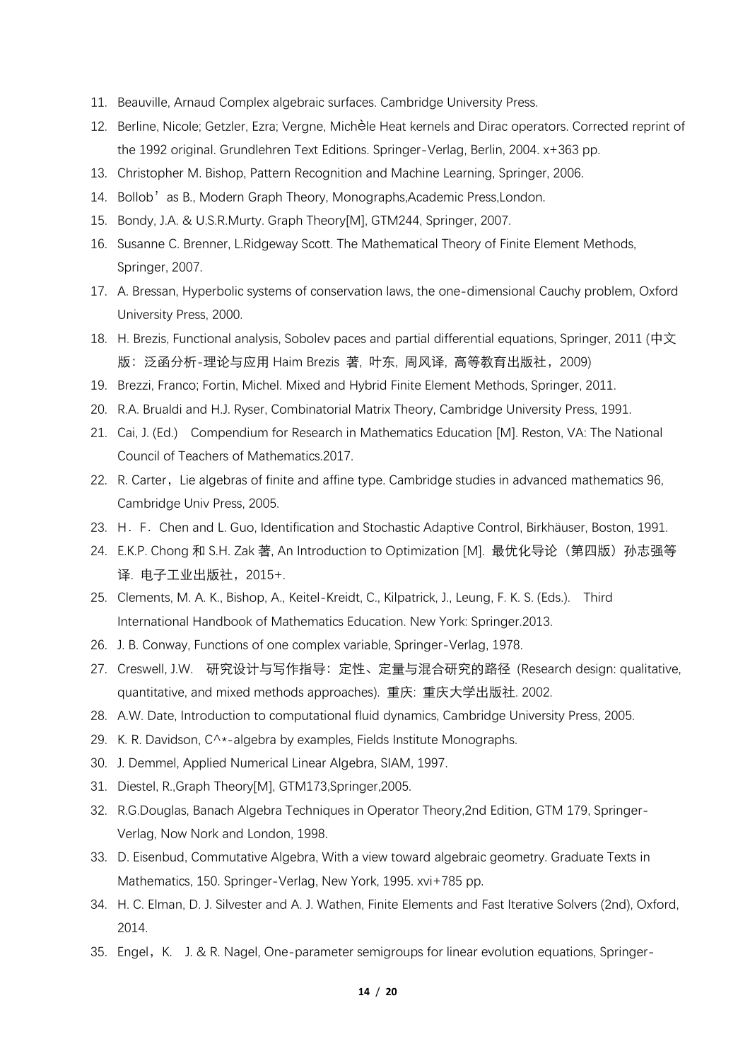- 11. Beauville, Arnaud Complex algebraic surfaces. Cambridge University Press.
- 12. Berline, Nicole; Getzler, Ezra; Vergne, Michèle Heat kernels and Dirac operators. Corrected reprint of the 1992 original. Grundlehren Text Editions. Springer-Verlag, Berlin, 2004. x+363 pp.
- 13. Christopher M. Bishop, Pattern Recognition and Machine Learning, Springer, 2006.
- 14. Bollob'as B., Modern Graph Theory, Monographs,Academic Press,London.
- 15. Bondy, J.A. & U.S.R.Murty. Graph Theory[M], GTM244, Springer, 2007.
- 16. Susanne C. Brenner, L.Ridgeway Scott. The Mathematical Theory of Finite Element Methods, Springer, 2007.
- 17. A. Bressan, Hyperbolic systems of conservation laws, the one-dimensional Cauchy problem, Oxford University Press, 2000.
- 18. H. Brezis, Functional analysis, Sobolev paces and partial differential equations, Springer, 2011 (中文 版:泛函分析-理论与应用 Haim Brezis 著, 叶东, 周风译, 高等教育出版社,2009)
- 19. Brezzi, Franco; Fortin, Michel. Mixed and Hybrid Finite Element Methods, Springer, 2011.
- 20. R.A. Brualdi and H.J. Ryser, Combinatorial Matrix Theory, Cambridge University Press, 1991.
- 21. Cai, J. (Ed.) Compendium for Research in Mathematics Education [M]. Reston, VA: The National Council of Teachers of Mathematics.2017.
- 22. R. Carter, Lie algebras of finite and affine type. Cambridge studies in advanced mathematics 96, Cambridge Univ Press, 2005.
- 23. H.F.Chen and L. Guo, Identification and Stochastic Adaptive Control, Birkhäuser, Boston, 1991.
- 24. E.K.P. Chong 和 S.H. Zak 著, An Introduction to Optimization [M]. 最优化导论(第四版)孙志强等 译. 电子工业出版社,2015+.
- 25. Clements, M. A. K., Bishop, A., Keitel-Kreidt, C., Kilpatrick, J., Leung, F. K. S. (Eds.). Third International Handbook of Mathematics Education. New York: Springer.2013.
- 26. J. B. Conway, Functions of one complex variable, Springer-Verlag, 1978.
- 27. Creswell, J.W. 研究设计与写作指导: 定性、定量与混合研究的路径 (Research design: qualitative, quantitative, and mixed methods approaches). 重庆: 重庆大学出版社. 2002.
- 28. A.W. Date, Introduction to computational fluid dynamics, Cambridge University Press, 2005.
- 29. K. R. Davidson,  $C^{\wedge}$  \*-algebra by examples, Fields Institute Monographs.
- 30. J. Demmel, Applied Numerical Linear Algebra, SIAM, 1997.
- 31. Diestel, R.,Graph Theory[M], GTM173,Springer,2005.
- 32. R.G.Douglas, Banach Algebra Techniques in Operator Theory,2nd Edition, GTM 179, Springer-Verlag, Now Nork and London, 1998.
- 33. D. Eisenbud, Commutative Algebra, With a view toward algebraic geometry. Graduate Texts in Mathematics, 150. Springer-Verlag, New York, 1995. xvi+785 pp.
- 34. H. C. Elman, D. J. Silvester and A. J. Wathen, Finite Elements and Fast Iterative Solvers (2nd), Oxford, 2014.
- 35. Engel, K. J. & R. Nagel, One-parameter semigroups for linear evolution equations, Springer-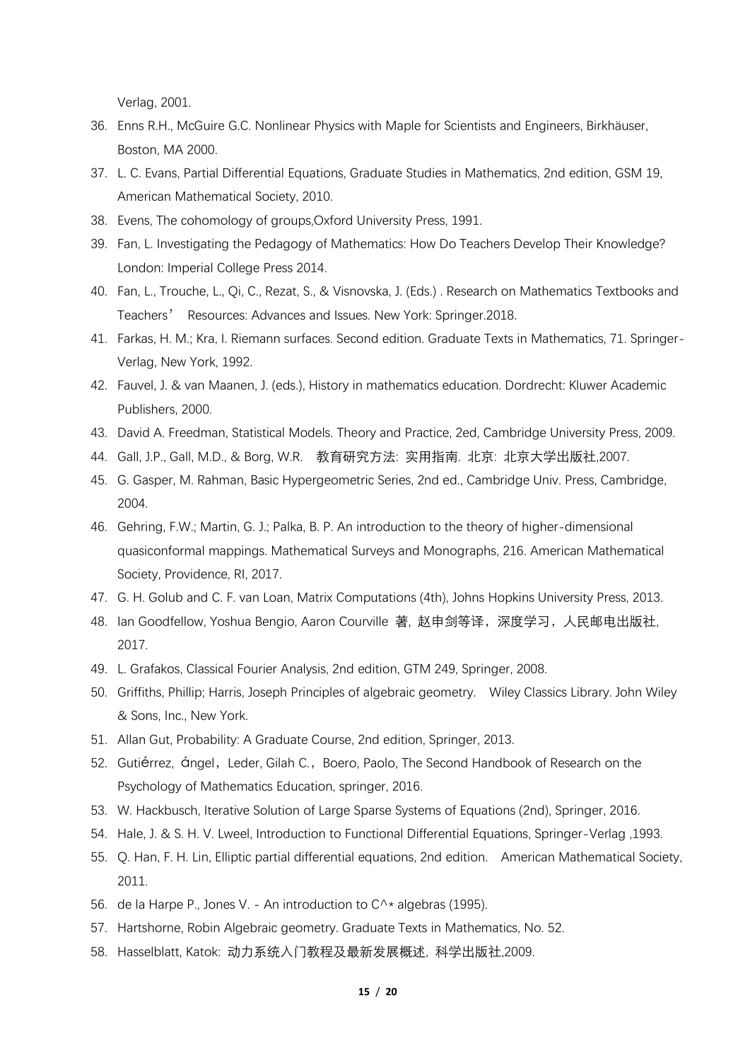Verlag, 2001.

- 36. Enns R.H., McGuire G.C. Nonlinear Physics with Maple for Scientists and Engineers, Birkhäuser, Boston, MA 2000.
- 37. L. C. Evans, Partial Differential Equations, Graduate Studies in Mathematics, 2nd edition, GSM 19, American Mathematical Society, 2010.
- 38. Evens, The cohomology of groups,Oxford University Press, 1991.
- 39. Fan, L. Investigating the Pedagogy of Mathematics: How Do Teachers Develop Their Knowledge? London: Imperial College Press 2014.
- 40. Fan, L., Trouche, L., Qi, C., Rezat, S., & Visnovska, J. (Eds.) . Research on Mathematics Textbooks and Teachers' Resources: Advances and Issues. New York: Springer.2018.
- 41. Farkas, H. M.; Kra, I. Riemann surfaces. Second edition. Graduate Texts in Mathematics, 71. Springer-Verlag, New York, 1992.
- 42. Fauvel, J. & van Maanen, J. (eds.), History in mathematics education. Dordrecht: Kluwer Academic Publishers, 2000.
- 43. David A. Freedman, Statistical Models. Theory and Practice, 2ed, Cambridge University Press, 2009.
- 44. Gall, J.P., Gall, M.D., & Borg, W.R. 教育研究方法: 实用指南. 北京: 北京大学出版社,2007.
- 45. G. Gasper, M. Rahman, Basic Hypergeometric Series, 2nd ed., Cambridge Univ. Press, Cambridge, 2004.
- 46. Gehring, F.W.; Martin, G. J.; Palka, B. P. An introduction to the theory of higher-dimensional quasiconformal mappings. Mathematical Surveys and Monographs, 216. American Mathematical Society, Providence, RI, 2017.
- 47. G. H. Golub and C. F. van Loan, Matrix Computations (4th), Johns Hopkins University Press, 2013.
- 48. Ian Goodfellow, Yoshua Bengio, Aaron Courville 著, 赵申剑等译,深度学习,人民邮电出版社, 2017.
- 49. L. Grafakos, Classical Fourier Analysis, 2nd edition, GTM 249, Springer, 2008.
- 50. Griffiths, Phillip; Harris, Joseph Principles of algebraic geometry. Wiley Classics Library. John Wiley & Sons, Inc., New York.
- 51. Allan Gut, Probability: A Graduate Course, 2nd edition, Springer, 2013.
- 52. Gutiérrez, ángel, Leder, Gilah C., Boero, Paolo, The Second Handbook of Research on the Psychology of Mathematics Education, springer, 2016.
- 53. W. Hackbusch, Iterative Solution of Large Sparse Systems of Equations (2nd), Springer, 2016.
- 54. Hale, J. & S. H. V. Lweel, Introduction to Functional Differential Equations, Springer-Verlag ,1993.
- 55. Q. Han, F. H. Lin, Elliptic partial differential equations, 2nd edition. American Mathematical Society, 2011.
- 56. de la Harpe P., Jones V. An introduction to C^\* algebras (1995).
- 57. Hartshorne, Robin Algebraic geometry. Graduate Texts in Mathematics, No. 52.
- 58. Hasselblatt, Katok: 动力系统入门教程及最新发展概述, 科学出版社,2009.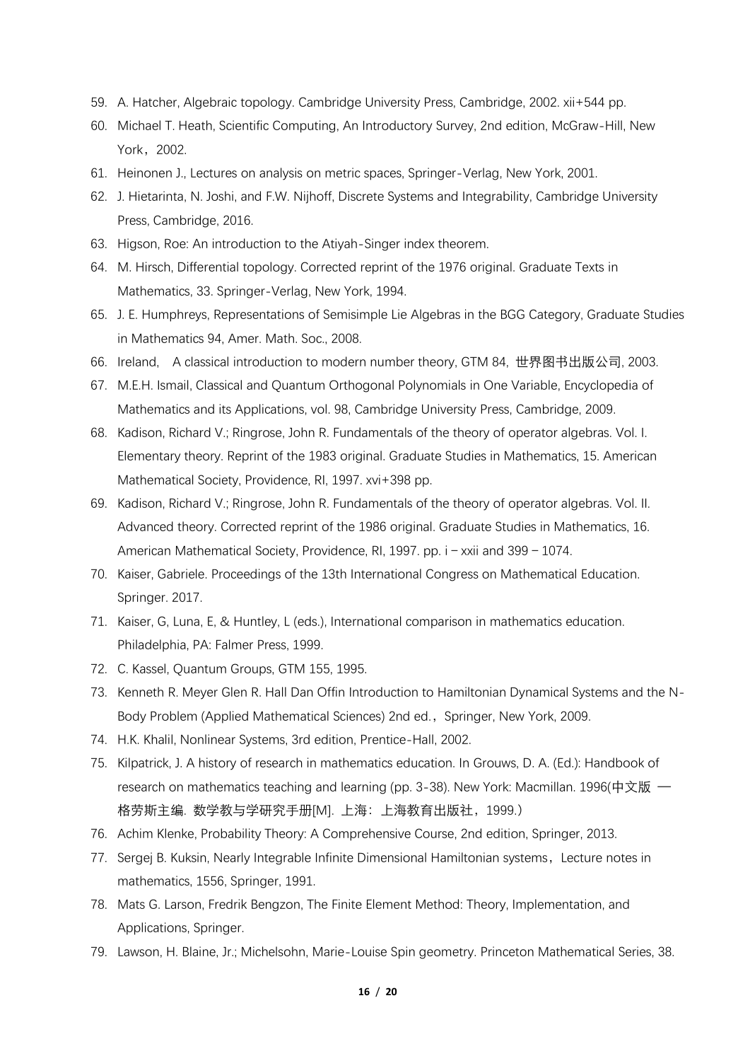- 59. A. Hatcher, Algebraic topology. Cambridge University Press, Cambridge, 2002. xii+544 pp.
- 60. Michael T. Heath, Scientific Computing, An Introductory Survey, 2nd edition, McGraw-Hill, New York, 2002.
- 61. Heinonen J., Lectures on analysis on metric spaces, Springer-Verlag, New York, 2001.
- 62. J. Hietarinta, N. Joshi, and F.W. Nijhoff, Discrete Systems and Integrability, Cambridge University Press, Cambridge, 2016.
- 63. Higson, Roe: An introduction to the Atiyah-Singer index theorem.
- 64. M. Hirsch, Differential topology. Corrected reprint of the 1976 original. Graduate Texts in Mathematics, 33. Springer-Verlag, New York, 1994.
- 65. J. E. Humphreys, Representations of Semisimple Lie Algebras in the BGG Category, Graduate Studies in Mathematics 94, Amer. Math. Soc., 2008.
- 66. Ireland, A classical introduction to modern number theory, GTM 84, 世界图书出版公司, 2003.
- 67. M.E.H. Ismail, Classical and Quantum Orthogonal Polynomials in One Variable, Encyclopedia of Mathematics and its Applications, vol. 98, Cambridge University Press, Cambridge, 2009.
- 68. Kadison, Richard V.; Ringrose, John R. Fundamentals of the theory of operator algebras. Vol. I. Elementary theory. Reprint of the 1983 original. Graduate Studies in Mathematics, 15. American Mathematical Society, Providence, RI, 1997. xvi+398 pp.
- 69. Kadison, Richard V.; Ringrose, John R. Fundamentals of the theory of operator algebras. Vol. II. Advanced theory. Corrected reprint of the 1986 original. Graduate Studies in Mathematics, 16. American Mathematical Society, Providence, RI, 1997. pp. i–xxii and 399–1074.
- 70. Kaiser, Gabriele. Proceedings of the 13th International Congress on Mathematical Education. Springer. 2017.
- 71. Kaiser, G, Luna, E, & Huntley, L (eds.), International comparison in mathematics education. Philadelphia, PA: Falmer Press, 1999.
- 72. C. Kassel, Quantum Groups, GTM 155, 1995.
- 73. Kenneth R. Meyer Glen R. Hall Dan Offin Introduction to Hamiltonian Dynamical Systems and the N-Body Problem (Applied Mathematical Sciences) 2nd ed., Springer, New York, 2009.
- 74. H.K. Khalil, Nonlinear Systems, 3rd edition, Prentice-Hall, 2002.
- 75. Kilpatrick, J. A history of research in mathematics education. In Grouws, D. A. (Ed.): Handbook of research on mathematics teaching and learning (pp. 3-38). New York: Macmillan. 1996(中文版 — 格劳斯主编. 数学教与学研究手册[M]. 上海:上海教育出版社,1999.)
- 76. Achim Klenke, Probability Theory: A Comprehensive Course, 2nd edition, Springer, 2013.
- 77. Sergej B. Kuksin, Nearly Integrable Infinite Dimensional Hamiltonian systems, Lecture notes in mathematics, 1556, Springer, 1991.
- 78. Mats G. Larson, Fredrik Bengzon, The Finite Element Method: Theory, Implementation, and Applications, Springer.
- 79. Lawson, H. Blaine, Jr.; Michelsohn, Marie-Louise Spin geometry. Princeton Mathematical Series, 38.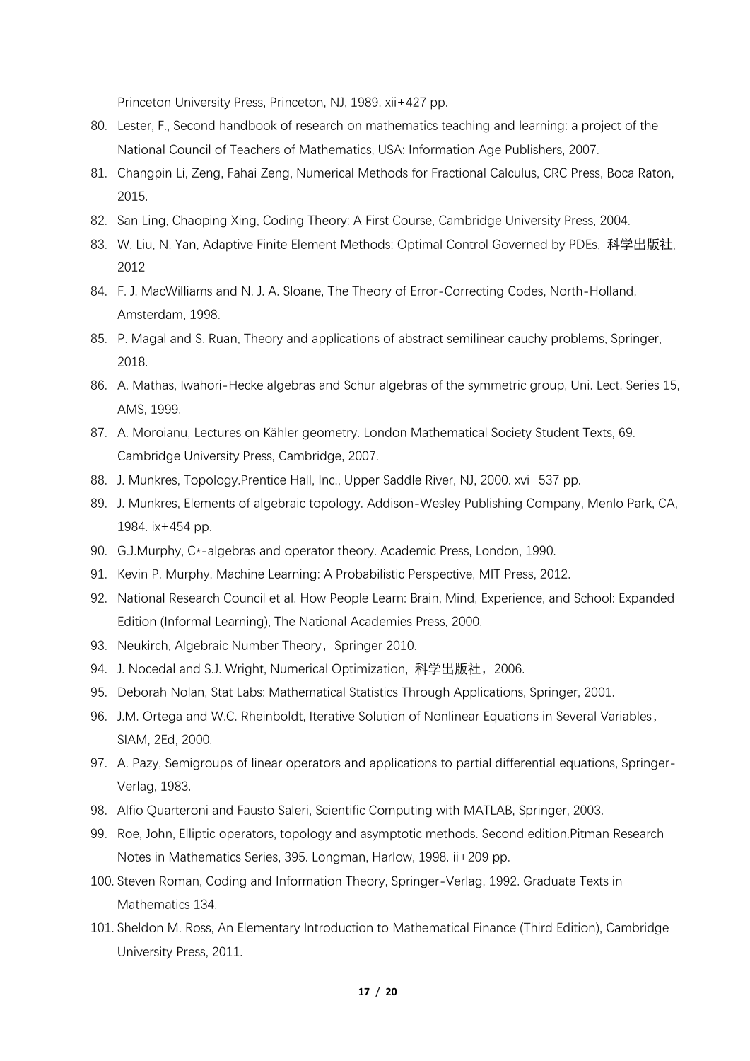Princeton University Press, Princeton, NJ, 1989. xii+427 pp.

- 80. Lester, F., Second handbook of research on mathematics teaching and learning: a project of the National Council of Teachers of Mathematics, USA: Information Age Publishers, 2007.
- 81. Changpin Li, Zeng, Fahai Zeng, Numerical Methods for Fractional Calculus, CRC Press, Boca Raton, 2015.
- 82. San Ling, Chaoping Xing, Coding Theory: A First Course, Cambridge University Press, 2004.
- 83. W. Liu, N. Yan, Adaptive Finite Element Methods: Optimal Control Governed by PDEs, 科学出版社, 2012
- 84. F. J. MacWilliams and N. J. A. Sloane, The Theory of Error-Correcting Codes, North-Holland, Amsterdam, 1998.
- 85. P. Magal and S. Ruan, Theory and applications of abstract semilinear cauchy problems, Springer, 2018.
- 86. A. Mathas, Iwahori-Hecke algebras and Schur algebras of the symmetric group, Uni. Lect. Series 15, AMS, 1999.
- 87. A. Moroianu, Lectures on Kähler geometry. London Mathematical Society Student Texts, 69. Cambridge University Press, Cambridge, 2007.
- 88. J. Munkres, Topology.Prentice Hall, Inc., Upper Saddle River, NJ, 2000. xvi+537 pp.
- 89. J. Munkres, Elements of algebraic topology. Addison-Wesley Publishing Company, Menlo Park, CA, 1984. ix+454 pp.
- 90. G.J.Murphy, C\*-algebras and operator theory. Academic Press, London, 1990.
- 91. Kevin P. Murphy, Machine Learning: A Probabilistic Perspective, MIT Press, 2012.
- 92. National Research Council et al. How People Learn: Brain, Mind, Experience, and School: Expanded Edition (Informal Learning), The National Academies Press, 2000.
- 93. Neukirch, Algebraic Number Theory, Springer 2010.
- 94. J. Nocedal and S.J. Wright, Numerical Optimization, 科学出版社,2006.
- 95. Deborah Nolan, Stat Labs: Mathematical Statistics Through Applications, Springer, 2001.
- 96. J.M. Ortega and W.C. Rheinboldt, Iterative Solution of Nonlinear Equations in Several Variables, SIAM, 2Ed, 2000.
- 97. A. Pazy, Semigroups of linear operators and applications to partial differential equations, Springer-Verlag, 1983.
- 98. Alfio Quarteroni and Fausto Saleri, Scientific Computing with MATLAB, Springer, 2003.
- 99. Roe, John, Elliptic operators, topology and asymptotic methods. Second edition.Pitman Research Notes in Mathematics Series, 395. Longman, Harlow, 1998. ii+209 pp.
- 100. Steven Roman, Coding and Information Theory, Springer-Verlag, 1992. Graduate Texts in Mathematics 134.
- 101. Sheldon M. Ross, An Elementary Introduction to Mathematical Finance (Third Edition), Cambridge University Press, 2011.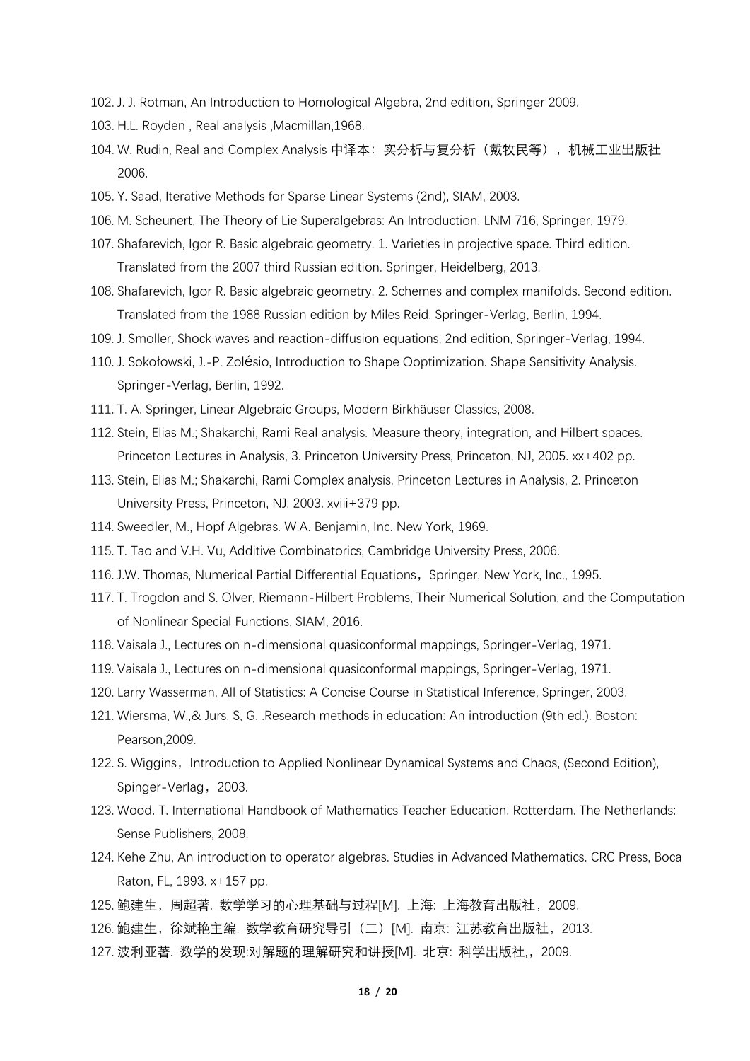- 102. J. J. Rotman, An Introduction to Homological Algebra, 2nd edition, Springer 2009.
- 103. H.L. Royden , Real analysis ,Macmillan,1968.
- 104. W. Rudin, Real and Complex Analysis 中译本:实分析与复分析(戴牧民等), 机械工业出版社 2006.
- 105. Y. Saad, Iterative Methods for Sparse Linear Systems (2nd), SIAM, 2003.
- 106. M. Scheunert, The Theory of Lie Superalgebras: An Introduction. LNM 716, Springer, 1979.
- 107. Shafarevich, Igor R. Basic algebraic geometry. 1. Varieties in projective space. Third edition. Translated from the 2007 third Russian edition. Springer, Heidelberg, 2013.
- 108. Shafarevich, Igor R. Basic algebraic geometry. 2. Schemes and complex manifolds. Second edition. Translated from the 1988 Russian edition by Miles Reid. Springer-Verlag, Berlin, 1994.
- 109. J. Smoller, Shock waves and reaction-diffusion equations, 2nd edition, Springer-Verlag, 1994.
- 110. J. Sokołowski, J.-P. Zolésio, Introduction to Shape Ooptimization. Shape Sensitivity Analysis. Springer-Verlag, Berlin, 1992.
- 111. T. A. Springer, Linear Algebraic Groups, Modern Birkhäuser Classics, 2008.
- 112. Stein, Elias M.; Shakarchi, Rami Real analysis. Measure theory, integration, and Hilbert spaces. Princeton Lectures in Analysis, 3. Princeton University Press, Princeton, NJ, 2005. xx+402 pp.
- 113. Stein, Elias M.; Shakarchi, Rami Complex analysis. Princeton Lectures in Analysis, 2. Princeton University Press, Princeton, NJ, 2003. xviii+379 pp.
- 114. Sweedler, M., Hopf Algebras. W.A. Benjamin, Inc. New York, 1969.
- 115. T. Tao and V.H. Vu, Additive Combinatorics, Cambridge University Press, 2006.
- 116. J.W. Thomas, Numerical Partial Differential Equations, Springer, New York, Inc., 1995.
- 117. T. Trogdon and S. Olver, Riemann-Hilbert Problems, Their Numerical Solution, and the Computation of Nonlinear Special Functions, SIAM, 2016.
- 118. Vaisala J., Lectures on n-dimensional quasiconformal mappings, Springer-Verlag, 1971.
- 119. Vaisala J., Lectures on n-dimensional quasiconformal mappings, Springer-Verlag, 1971.
- 120. Larry Wasserman, All of Statistics: A Concise Course in Statistical Inference, Springer, 2003.
- 121. Wiersma, W.,& Jurs, S, G. .Research methods in education: An introduction (9th ed.). Boston: Pearson,2009.
- 122. S. Wiggins, Introduction to Applied Nonlinear Dynamical Systems and Chaos, (Second Edition), Spinger-Verlag, 2003.
- 123. Wood. T. International Handbook of Mathematics Teacher Education. Rotterdam. The Netherlands: Sense Publishers, 2008.
- 124. Kehe Zhu, An introduction to operator algebras. Studies in Advanced Mathematics. CRC Press, Boca Raton, FL, 1993. x+157 pp.
- 125. 鲍建生,周超著. 数学学习的心理基础与过程[M]. 上海: 上海教育出版社,2009.
- 126. 鲍建生,徐斌艳主编. 数学教育研究导引(二)[M]. 南京: 江苏教育出版社,2013.
- 127. 波利亚著. 数学的发现:对解题的理解研究和讲授[M]. 北京: 科学出版社,,2009.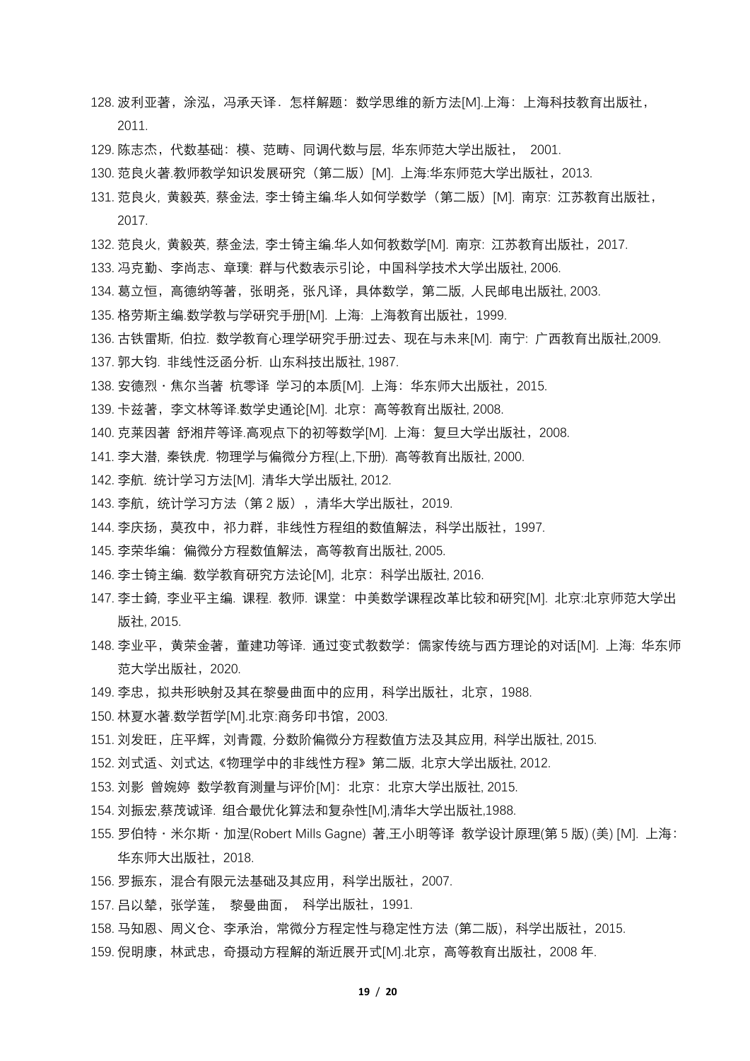- 128. 波利亚著,涂泓, 冯承天译. 怎样解题: 数学思维的新方法[M].上海: 上海科技教育出版社, 2011.
- 129. 陈志杰,代数基础:模、范畴、同调代数与层, 华东师范大学出版社, 2001.
- 130. 范良火著.教师教学知识发展研究(第二版)[M]. 上海:华东师范大学出版社,2013.
- 131. 范良火, 黄毅英, 蔡金法, 李士锜主编.华人如何学数学(第二版)[M]. 南京: 江苏教育出版社, 2017.
- 132. 范良火, 黄毅英, 蔡金法, 李士锜主编.华人如何教数学[M]. 南京: 江苏教育出版社,2017.
- 133. 冯克勤、李尚志、章璞: 群与代数表示引论,中国科学技术大学出版社, 2006.
- 134. 葛立恒,高德纳等著,张明尧,张凡译,具体数学,第二版, 人民邮电出版社, 2003.
- 135. 格劳斯主编.数学教与学研究手册[M]. 上海: 上海教育出版社,1999.
- 136. 古铁雷斯, 伯拉. 数学教育心理学研究手册:过去、现在与未来[M]. 南宁: 广西教育出版社,2009.
- 137. 郭大钧. 非线性泛函分析. 山东科技出版社, 1987.
- 138. 安德烈·焦尔当著 杭零译 学习的本质[M]. 上海: 华东师大出版社, 2015.
- 139. 卡兹著,李文林等译.数学史通论[M]. 北京:高等教育出版社, 2008.
- 140. 克莱因著 舒湘芹等译.高观点下的初等数学[M]. 上海:复旦大学出版社,2008.
- 141. 李大潜, 秦铁虎. 物理学与偏微分方程(上,下册). 高等教育出版社, 2000.
- 142. 李航. 统计学习方法[M]. 清华大学出版社, 2012.
- 143. 李航,统计学习方法(第 2 版),清华大学出版社, 2019.
- 144. 李庆扬, 莫孜中, 祁力群, 非线性方程组的数值解法, 科学出版社, 1997.
- 145. 李荣华编: 偏微分方程数值解法, 高等教育出版社, 2005.
- 146. 李士锜主编. 数学教育研究方法论[M], 北京:科学出版社, 2016.
- 147. 李士錡, 李业平主编. 课程. 教师. 课堂:中美数学课程改革比较和研究[M]. 北京:北京师范大学出 版社, 2015.
- 148. 李业平,黄荣金著,董建功等译. 通过变式教数学:儒家传统与西方理论的对话[M]. 上海: 华东师 范大学出版社,2020.
- 149. 李忠, 拟共形映射及其在黎曼曲面中的应用, 科学出版社, 北京, 1988.
- 150. 林夏水著.数学哲学[M].北京:商务印书馆,2003.
- 151. 刘发旺,庄平辉,刘青霞, 分数阶偏微分方程数值方法及其应用, 科学出版社, 2015.
- 152. 刘式适、刘式达,《物理学中的非线性方程》第二版, 北京大学出版社, 2012.
- 153. 刘影 曾婉婷 数学教育测量与评价[M]: 北京: 北京大学出版社, 2015.
- 154. 刘振宏,蔡茂诚译. 组合最优化算法和复杂性[M],清华大学出版社,1988.
- 155. 罗伯特·米尔斯·加涅(Robert Mills Gagne) 著,王小明等译 教学设计原理(第 5 版) (美) [M]. 上海: 华东师大出版社,2018.
- 156. 罗振东,混合有限元法基础及其应用,科学出版社,2007.
- 157. 吕以辇,张学莲, 黎曼曲面, 科学出版社,1991.
- 158. 马知恩、周义仓、李承治,常微分方程定性与稳定性方法 (第二版),科学出版社,2015.
- 159. 倪明康,林武忠,奇摄动方程解的渐近展开式[M].北京,高等教育出版社,2008 年.

#### **19** / **20**